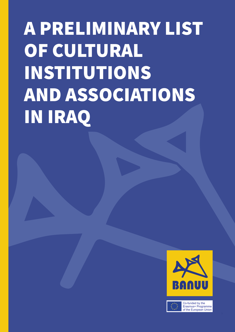# A PRELIMINARY LIST OF CULTURAL INSTITUTIONS AND ASSOCIATIONS IN IRAQ



Co-funded by the Erasmus+ Programme of the European Union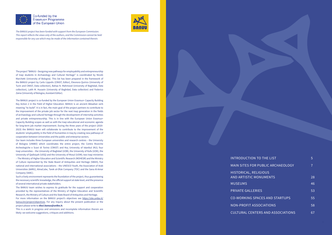

Co-funded by the Erasmus+ Programme of the European Union



| ON TO THE LIST                     | 5  |
|------------------------------------|----|
| OR PUBLIC ARCHAEOLOGY <sup>.</sup> | 7  |
| <b>RELIGIOUS</b><br>C MONUMENTS    | 28 |
|                                    | 46 |
| LERIES                             | 53 |
| <b>SPACES AND STARTUPS</b>         | 55 |
| <b>ASSOCIATIONS</b>                | 58 |
| <b>ENTERS AND ASSOCIATIONS</b>     | 67 |

The project "BANUU - Designing new pathways for employability and entrepreneurship of Iraqi students in Archaeology and Cultural Heritage" is coordinated by Nicolò Marchetti (University of Bologna). This list has been prepared in the framework of the BANUU project by Carlo Lippolis (CRAST, Editor), Eleonora Quirico (University of Turin and CRAST, Data collection), Bahaa N. Mahmood (University of Baghdad, Data collection), Laith M. Hussein (University of Baghdad, Data collection) and Federico Zaina (University of Bologna, Assistant Editor).

The BANUU project is co-funded by the European Union Erasmus+ Capacity Building Key Action 2 in the Field of Higher Education. BANUU is an ancient Akkadian verb meaning "to build". It is in fact, the main goal of the project partners to contribute to the improvement of the private job sector for the next Iraqi generation in the fields of archaeology and cultural heritage through the development of internship activities and private entrepreneurship. This is in line with the European Union Erasmus+ Capacity Building scopes as well as with the Iraqi educational and economic agenda for long-term job market improvement. During the three years of the project (2020- 2023) the BANUU team will collaborate to contribute to the improvement of the students' employability in the field of Humanities in Iraq by creating new pathways of cooperation between Universities and the public and enterprise sectors.

For more information on the BANUU project's objectives see https://site.unibo.it/ banuu/en/project/objectives. For any inquiry about the present publication or the project please write to **disci.banuu@unibo.it** .

Our team includes three European universities and research centres – the University of Bologna (UNIBO) which coordinates the entire project, the Centro Ricerche Archeologiche e Scavi di Torino (CRAST) and Koç University of Istanbul (KU); four Iraqi universities – the University of Baghdad (UOB), the University of Kufa (UOK), the University of Qadisiyah (UOQ) and the University of Mosul (UOM); two Iraqi ministries – The Ministry of Higher Education and Scientific Research (MOHESR) and the Ministry of Culture represented by the State Board of Antiquities and Heritage (SBAH); five national and international associations – the UNESCO Youth, the Association of Arab Universities (AARU), AlmaCube, Tarek al-Ofuk Company (TOC) and the Sana Al-Amar Company (SAAC).

Such a lively environment represents the foundation of the project, thus guaranteeing the necessary scientific knowledge, the official support at state level, and the presence of several international private stakeholders.

The BANUU team wishes to express its gratitude for the support and cooperation provided by the representatives of the Ministry of Higher Education and Scientific Research, the Ministry of Culture and the State Board of Antiquities and Heritage.

This is a work in progress and omissions and incomplete information therein are likely: we welcome suggestions, critiques and additions.

# **INTRODUCTI**

**MAIN SITES** 

**HISTORICAL AND ARTISTI** 

**MUSEUMS** 

**PRIVATE GAL** 

CO-WORKING

**NON-PROFIT** 

**CULTURAL C** 

*The BANUU project has been funded with support from the European Commission. This report reflects the views only of the authors, and the Commission cannot be held responsible for any use which may be made of the information contained therein.*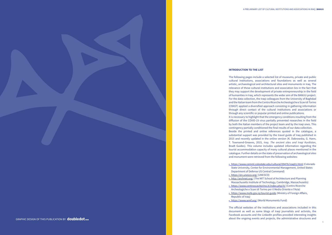### **INTRODUCTION TO THE LIST**

The following pages include a selected list of museums, private and public cultural institutions, associations and foundations as well as several artistic, archaeological and architectural sites and monuments in Iraq. The relevance of these cultural institutions and association lies in the fact that they may support the development of private entrepreneurship in the field of humanities in Iraq, which represents the wider aim of the BANUU project. For the data collection, the Iraqi colleagues from the University of Baghdad and the Italian team from the Centro Ricerche Archeologiche e Scavi di Torino (CRAST) applied a diversified approach consisting in gathering information through direct contact of the cultural institutions and associations or through any scientific or popular printed and online publications.

It is necessary to highlight that the emergency conditions resulting from the diffusion of the COVID-19 virus partially prevented researches in the field by both the Italian members of the project team and by the Iraqi ones. This contingency partially conditioned the final results of our data collection.

The official websites of the institutions and associations included in this document as well as some blogs of Iraqi journalists and activists, the Facebook accounts and the LinkedIn profiles provided interesting insights GRAPHIC DESIGN OF THIS PUBLICATION BY **doubledot... COMPLETE A CONSUMING A CONSUMING A CONSUMING A CONSUMING A CONSUMING A CONSUMINISTY AND A CONSUMINISTY AND A CONSUMINISTY AND A CONSUMINISTY OF THIS PUBLICATION BY <b>dou** 

Beside the printed and online references quoted in the catalogue, a substantial support was provided by the travel guide of Iraq published in 2015 and recently updated in the online version (K. Dabrowska, G. Hann, T. Townsend-Greaves, 2015, *Iraq. The ancient sites and Iraqi Kurdistan*, Bradt Guides). This volume includes updated information regarding the tourist accommodation capacity of many cultural places mentioned in the catalogue. Further details on the state of preservation of archaeological sites and monument were retrieved from the following websites:

• https://www.cemml.colostate.edu/cultural/09476/iraq01.html (Colorado State University, Center for Environmental Management, United States Department of Defense US Central Command)

• https://en.unesco.org/ (UNESCO) • http://archnet.org/ (The MIT School of Architecture and Planning Massachusetts Institute of Technology, Cambridge, Massachusetts) • https://www.centroscavitorino.it/index.php/it/ (Centro Ricerche Archeologiche e Scavi di Torino per il Medio Oriente e l'Asia)

• https://www.mofa.gov.iq/tourist-guide (Ministry of Foreign Affairs,

- 
- 
- 
- Republic of Iraq)

# • https://www.wmf.org/ (World Monuments Fund)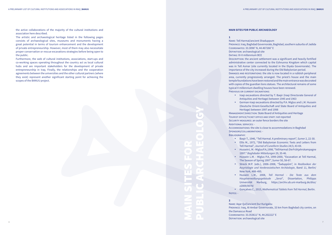the active collaborations of the majority of the cultural institutions and association here described.

The artistic and archaeological heritage listed in the following pages consists of archaeological sites, museums and monuments having a great potential in terms of tourism enhancement and the development of private entrepreneurship. However, most of them may also necessitate proper conservation or rescue excavations strategies before being open to the public.

Coordinates: 33.3096° N, 44.467266° E Definition: archaeological site DATING: III-II millennium BCE

- 
- 

Furthermore, the web of cultural institutions, associations, start-ups and co-working spaces operating throughout the country act as local cultural hubs and are important stakeholders for the development of private entrepreneurship in Iraq. Finally, the relationships and the cooperation agreements between the universities and the other cultural partners (where they exist) represent another significant starting point for achieving the scopes of the BANUU project.

### **MAIN SITES FOR PUBLIC ARCHAEOLOGY**

**1**

Additional services: - Sponsors/collaborations: - BIBLIOGRAPHY:

- • Baqir T., 1946, "Tell Harmal. A preliminary report", *Sumer* 2, 22-30. • Ellis M., 1972, "Old Babylonian Economic Texts and Letters from Tell Harmal", *Journal of Cuneiform Studies* 24/3, 43-69.
- • Hussein L. M. Miglus P.A, 1998, "Tell Harmal: Die Frühjahrskampagne 1997." *Baghdader Mitteilungen* 29, 35-46.
- • Hussein L.M. Miglus P.A, 1999-2000, "Excavation at Tell Harmal, The Season of Spring 1997", *Sumer* 50, 58-67.
- • Streck M.P. (eds.), 2006–2008, "Šaduppûm", in *Reallexikon der Assyriologie und Vorderasiatischen Archäologie*, Band 11, Berlin/ New York, 488–495.
- • Hussein L.M., 2008, *Tell Harmal Die Texte aus dem Hauptverwaltungsgebäude "Serai*", Dissertation, Philipps Universität Marburg, https://archiv.ub.uni-marburg.de/diss/ z2009/0078/
- NOTES: -
- Name: Tell Harmal/ancient Shaduppum
- Province: Iraq, Baghdad Governorate, Baghdad, southern suburbs of Jadida
	-
	-
- DESCRIPTION: the ancient settlement was a significant and heavily fortified administrative center connected to the Eshnunna Kingdom which capital was in Tell Asmar (site currently located in the Diyala Governorate). The importance of the city increased during the Old Babylonian period.
- Damages and restorations: the site is now located in a rubbish peripheral area, currently progressively arranged. The priest's house and the main temple foundations have been restored and the main entrance was decorated with copies of the guardian lions statues. The architectural remains of some typical II millennium dwelling houses have been renewed.
- PREVIOUS OR CURRENT EXCAVATIONS:
	- Iraqi excavations directed by T. Baqir (Iraqi Directorate General of Antiquities and Heritage) between 1945 and 1963
	- German-Iraqi excavations directed by P.A. Miglus and L.M. Hussein (Deutsche Orient-Gesellschaft and State Board of Antiquities and Heritage) between 1997 and 1998
- Management/direction: State Board of Antiquities and Heritage
- TOURIST OFFICE/TICKET OFFICE AND STAFF: not reported
- Security measures: an outer fence borders the site
- Accommodations: the site is close to accommodations in Baghdad

# **2**

- • Gonçalves C., 2015, *Mathematical Tablets from Tell Harmal*, Berlin.
- Province: Iraq, Al-Ambar Governorate, 33 km from Baghdad city centre, on
	-
	-

Name: Aqar Quf/ancient Dur Kurigalzu the Damascus Road Coordinates: 33.353611° N, 44.202222° E Definition: archaeological site

MAIN SITES FOR

PUBLIC ARCHAEOLOGY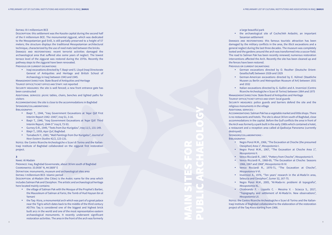8

### Dating: III-I millennium BCE

• Iraqi excavations directed by T. Bagir and S. Lloyd (Iraqi Directorate General of Antiquities and Heritage and British School of Archaeology in Iraq) between 1943 and 1945.

MANAGEMENT/DIRECTION: State Board of Antiquities and Heritage

Description: this settlement was the Kassite capital during the second half of the II millennium BCE. The monumental ziggurat, which was dedicated to the Mesopotamian god Enlil, is still partially preserved to a height of 57 meters; the structure displays the traditional Mesopotamian architectural technique, characterized by the use of reed mats laid between the bricks. Damages and restorations: recent terrorist activities damaged the archaeological area that suffered also some years of neglect. The lowest terrace level of the ziggurat was restored during the 1970s. Recently the pathway steps to the ziggurat have been renovated.

PREVIOUS OR CURRENT EXCAVATIONS:

SECURITY MEASURES: the site is well fenced; a new front entrance gate has been constructed

ADDITIONAL SERVICES: picnic tables, chairs, benches and lighted paths for visitors

NOTES: the Centro Ricerche Archeologiche e Scavi di Torino and the Italian-Iraqi Institute of Baghdad collaborated on the ziggurat first restoration project.

Tourist office/ticket office and Staff: not reported

Accommodations: the site is close to the accommodations in Baghdad Sponsors/collaborations: -

### Bibliography:

- the village of Salman Pak with the Mosque of the Prophet's Barber, the Mausoleum of Salman al Farisi, the Tomb of Hud Haysan ibn al Yamani
- the Tag- Kisra, a monumental arch which was part of a great palace near the Tigris which dates back to the middle of the third century AD.This Taq is considered one of the biggest and highest brick built arcs in the world and one of the most representative eastern archaeological monuments. It recently underwent significant restoration activities. The area in the front of the arch was formerly
- • Baqir T., 1944, "Iraq Government Excavations at 'Aqar Qūf First Interim Report 1942–1943", *Iraq* S1, 3-16.
- • Baqir T., 1946, "Iraq Government Excavations at 'Aqar Qūf: Third Interim Report, 1944-5" *Iraq* 8, 73-93.
- • Gurney O.R., 1949, "Texts from Dur-Kurigalzu", *Iraq* 11/1, 131-149.
- • Bāqir Ṭ., 1959, *Aqar Quf*, Baghdad.
- • Tomabechi Y., 1983, "Wall Paintings from Dur Kurigalzu", *Journal of Near Eastern Studies* 42/2, 123-131.

the fences have been restored. PREVIOUS OR CURRENT EXCAVATIONS:

# **3**

Name: Al-Madain

Province: Iraq, Baghdad Governorate, about 30 km south of Baghdad Coordinates: 33.0936° N, 44.5809° E

Definition: monuments, museum and archaeological sites area Dating: I millennium BCE- Islamic period

- the archaeological site of Coche/Veh Ardashir, an important Sasanian settlement
- Damages and restorations: this famous touristic attraction has been damaged by the military conflicts in the area, the illicit excavations and a general neglect during the last three decades. The museum was completely looted and the gardens around the arch was transformed into a soccer field. The road to Salman Pak has been recently renewed; numerous restoration interventions affected the Arch. Recently the site has been cleaned up and
	-
- Italian excavations directed by G. Gullini and A. Invernizzi (Centro Ricerche Archeologiche e Scavi di Torino) between 1964 and 1975 Management/direction: State Board of Antiquities and Heritage
	-
- Tourist office/ticket office and staff: local guards
- SECURITY MEASURES: police guards and barriers defend the site and the
	-
- Accommodations: Salman Pak has a vegetable market and little shops. There is no restaurants and hotels. The site is about 30 km south of Baghdad, close accommodations in the capital. Before the Gulf conflicts the area in front of the Arch was formerly a park built in the early 1980s which contained a hotel, a restaurant and a reception area called al-Qadissiya Panorama (currently

Description: al-Madain (the Cities) is the Arabic name for the area which includes Salman Pak and Ctesiphon. The artistic and archaeological heritage here located mainly contains:

- Negro Ponzi M.M., 1966, "The Excavation at Choche (the presumed Ctesiphon) Area 1", *Mesopotamia* I.
- • Negro Ponzi M.M., 1967, "The Excavation at Choche Area 1", *Mesopotamia* II.
- • Venco Ricciardi R., 1967, "Pottery from Choche", *Mesopotamia* II.
- • Venco Ricciardi R., 1968-69, "The Excavation at Choche: Seasons 1966, 1967 and 1968", *Mesopotamia* III-IV.
- *Mesopotamia* V-VI.
- • Invernizzi A., 1976, "Ten years' research in the al-Mada'in area, Seleucia and Ctesiphon", *Sumer* 32, 167-75.
- • Negro Ponzi M.M., 2005, "Al-Mada-in: problemi di topografia", *Mesopotamia* XL.
- • Chiabrando F. Lippolis C. Messina V. Sciacca S., 2017, "Topography and settlement of Al-Mada'in. New observations", *Mesopotamia* LII.

a large beautiful park

- • German excavations directed by O. Reuther (Deutsche Orient-Gesellschaft) between 1928-and 1929
- • German-American excavations directed by E. Kühnel (Staatliche Museen zu Berlin and Metropolitan Museum of Art) between 1931 and 1932
- 

religious monuments in the village Additional services: destroyed).

Sponsors/collaborations: - Bibliography:

• Venco Ricciardi R., 1970-71, "The Excavation at Choche",

Notes: the Centro Ricerche Archeologiche e Scavi di Torino and the Italian-Iraqi Institute of Baghdad collaborated to the elaboration of the restoration project of the Taq-Kisra starting from 1966.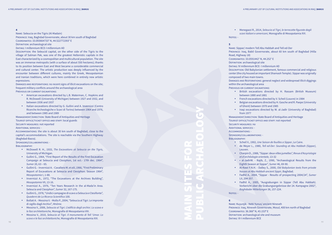MAIN SITES FOR

NOTES: -

PUBLIC ARCHAEOLOGY

Province: Iraq, Baghdad Governorate, about 30 km south of Baghdad Coordinates: 33.093664733° N, 44.522772393° E DEFINITION: archaeological site

### **4**

Name: Seleucia on the Tigris (Al-Madain)

### Dating: I millennium BCE-I millennium AD

DESCRIPTION: the Seleucid capital, on the other side of the Tigris to the village of Salman Pak, was one of the greatest Hellenistic capitals in the East characterized by a cosmopolitan and multicultural population. The site was an immense metropolis (with a surface of about 550 hectares); thanks to its position between East and West became a considerable commercial and cultural center. The artistic production was deeply influenced by the encounter between different cultures, mainly the Greek, Mesopotamian and Iranian traditions, which were here combined in entirely new artistic expressions.

Damages and restorations: no recent signs of illicit excavations on the site; frequent military conflicts around the archaeological area PREVIOUS OR CURRENT EXCAVATIONS:

Management/direction: State Board of Antiquities and Heritage Tourist office/ticket office and staff: local guards SECURITY MEASURES: not reported

- • American excavations directed by L.B. Waterman, C. Hopkins and R. McDowell (University of Michigan) between 1927 and 1932, and between 1936 and 1937
- • Italian excavations directed by G. Gullini and A. Invernizzi (Centro Ricerche Archeologiche e Scavi di Torino) between 1964 and 1976, and between 1985 and 1989

Name: Sippar/ modern Tell Abu Habbah and Tell ed-Der Road, Highway 18) Coordinates: 33.0591442° N, 44.252° E Definition: archaeological site DATING: IV millennium BCE- I millennium AD composed of two main towns. within the archaeological area PREVIOUS OR CURRENT EXCAVATIONS:

### Additional services: -

Accommodations: the site is about 30 km south of Baghdad, close to the capital's accommodations. The site is reachable via the Southern Highway (Baghdad-Basra).

### Sponsors/collaborations: -

BIBLIOGRAPHY:

• Belgian excavations directed by H. Gasche and R. Paepe (University of Ghent) between 1970 and 1985

• Iraqi excavations directed by W. al-Jadir (University of Baghdad)

- 
- Leuven.
- 
- 
- 
- LII, 294-357.
- NOTES: -

• • al-JadirW. - Rajib, Z., 1990, "Archaeological Results from the Eighth Season at Sippar", *Sumer* 46, 69-90.

- • McDowell R. H., 1933, *The Excavations at Seleucia on the Tigris,*  University of Michigan.
- • Gullini G., 1964, "First Report of the Results of the First Excavation Campaign at Seleucia and Ctesiphon, 1st oct.- 17th dec. 1964", *Sumer* 20, 63 – 65.
- • Gullini G. Invernizzi A. Cavallero M. *et alii*, 1966, "First Preliminary Report of Excavations at Seleucia and Ctesiphon. Season 1964", *Mesopotamia* I, 1-88.
- • Invernizzi A., 1972, "The Excavations at the Archives Building", *Mesopotamia* VII, 13-16.
- • Invernizzi A., 1976, "Ten Years Research in the al-Mada'in Area. Seleucia and Ctesiphon", *Sumer* 32, 167-175.
- • Gullini G., 1978, "Undici campagne di scavo a Seleucia e Ctesifonte", *Quaderni de La Ricerca Scientifica* 100.
- • Bollati A. Messina V. Mollo P., 2004, "Seleucia al Tigri. Le impronte di sigillo dagli Archivi", *Mnème.*
- • Messina V., 2006, *Seleucia al Tigri. L'edificio degli archivi. Lo scavo e le fasi architettoniche,* Monografie di Mesopotamia VIII.
- • Messina V., 2010, *Seleucia al Tigri. Il monumento di Tell 'Umar. Lo scavo e le fasi architettoniche,* Monografie di Mesopotamia XIII.

Name: Kuyunjik - Nebi Yunus/ ancient Nineveh Province: Iraq, Nineveh Governorate, Mosul, 400 km north of Baghdad Coordinates: 36.366º N, 43.153º E DEFINITION: archaeological site and museum DATING: VI-I millennium BCE

• Menegazzi R., 2014, *Seleucia al Tigri, le terrecotte figurate dagli scavi italiani e americani,* Monografie di Mesopotamia XVI.

### **5**

Province: Iraq, Babil Governorate, about 60 km south of Baghdad (Hilla

Description: Old Babylonian settlement, famous commercial and religious center (the city housed an important Shamash Temple). Sippar was originally

Damages and Restorations: general neglect and widespread illicit diggings

• British excavations directed by H. Rassam (British Museum) between 1880 and 1881

• French excavations directed by V. Scheil (Louvre) in 1984

- 
- 
- from 1977

MANAGEMENT/DIRECTION: State Board of Antiquities and Heritage TOURIST OFFICE/TICKET OFFICE AND STAFF: not reported Security measures: no Additional services: - Accommodations: - Sponsors/collaborations: - BIBLIOGRAPHY:

• Scheil V., 1902, *Une Saison de fouilles a Sippar*, Le Caire. • de Meyer L., 1980, *Tell ed-Der: Sounding at Abu Habbah (Sippar),* 

• Charpin D., 1988, "Sippar: deux villes jumelles", *Revue d'Assyriologie et d'archéologie orientale,* 13-32

• Al-Rawi F.N.H. - Dalley S., 2000, *Old Babylonian texts from private houses at Abu Habbah ancient Sippir*, Baghdad.

• Fadhil A., 2004, "Sippar - Results of prospecting 2004/24", *Sumer* 

• Fadhil A., 2005, "Ausgrabungen in Sippar (Tell Abu Habbah). Vorbericht über die Grabungsergebnisse der 24. Kampagne 2002", *Baghdader Mitteilungen* 36, 157-224.

### **6**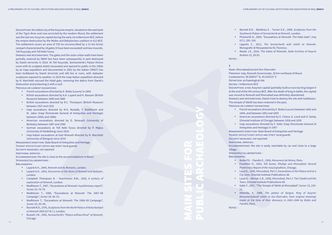MAIN SITES FOR

PUBLIC ARCHAEOLOGY

Description: the oldest city of the Assyrian empire, situated on the east bank of the Tigris River and now encircled by the modern Mosul; the settlement was the last neo-Assyrian capital during the early 1st millennium BCE, before the empire destruction by the Medes and Babylonians coalition in 612 BCE. The settlement covers an area of 750 ha circumscribed by a 12 km bricks rampart characterized by 18 gates (5 have been excavated) and two mounds, Tell Kuyunjiq and Tell Nebi Yunus.

Damages and restorations: The gates and the outer urban walls have been partially restored by SBAH but have been subsequently in part destroyed by Daesh terrorists in 2016. At Tell Kuyunjik, Sennacherib's Palace throne room with its sculpted reliefs (excavated and opened to public in the 1960s by an Iraqi expedition and documented in 2001 by the Italian CRAST) has been bulldozed by Daesh terrorists and still lies in ruins, with alabaster sculptures exposed to weather. In 2019 the Iraqi-Italian expedition directed by N. Marchetti rescued the Adad gate, removing the debris from Daesh's destruction and protecting it with a roof.

PREVIOUS OR CURRENT EXCAVATIONS:

- • French excavations directed by E. Botta (Louvre) in 1842
- British excavations directed by A.H. Layard and H. Rassam (British Museum) between 1849 and 1880
- • British excavations directed by R.C. Thompson (British Museum) between 1927 and 1932
- Iraqi excavations directed by M.A. Mustafa, T. Madhloom and M. Jabur (Iraqi Directorate General of Antiquities and Heritage) between 1950s and 1980s
- • American excavations directed by D. Stronach (University of Berkeley) between 1987 and 1990
- • German excavations at Tell Nebi Yunus directed by P. Miglus (University of Heidelberg) since 2018
- Iraqi-Italian excavations at East Nineveh directed by N. Marchetti (University of Bologna) since 2019

• French excavations directed by E. Botta (Louvre) between 1842 and 1844, and between 1852 and 1855

Management/direction: State Board of Antiquities and Heritage Tourist office/ticket office and staff: local guards

SECURITY MEASURES: not reported

• American excavations directed by E. Chiera, G. Loud and H. Darby (Oriental Institute of Chicago) between 1928 and 1935

• Iraqi excavations directed by F. Safar (Iraqi Directorate General of Antiquities and Heritage) in 1957

MANAGEMENT/DIRECTION: State Board of Antiquities and Heritage

Additional services: -

Accommodations: the site is close to the accommodations in Mosul Sponsors/collaborations: -

SECURITY MEASURES: not reported Additional services: village.

Bibliography:

- • Layard A.H., 1849, *Nineveh and Its Remains*, London.
- • Layard A.H., 1853, *Discoveries in the Ruins of Nineveh and Babylon*, London.
- • Campbell Thompson R. Hutchinson R.W., 1929*, A century of exploration at Nineveh,* London.
- Madhloom T., 1967, "Excavations at Nineveh: A preliminary report", *Sumer* 23, 76-79.
- • Madhloom T., 1968, "Excavations at Nineveh: The 1967–68 Campaign", *Sumer* 24, 45–51.
- • Madhloom T., "Excavations at Nineveh: The 1968–69 Campaign", *Sumer* 25, 43–49.
- • Barnett R.D., 1976, *Sculptures from the North Palace of Ashurbanipal at Nineveh (668-627 B.C.),* London.
- • Russell J.M., 1992, *Sennacherib's "Palace without Rival" at Nineveh*, Chicago.

• Barnett R.D. - Bleibtreu E. - Turner G.E., 1998, *Sculptures from the Southwest Palace of Sennacherib at Nineveh*, London. • Pickworth D., 2005, "Excavations at Nineveh: The Halzi Gate", *Iraq* 

• Lippolis C., 2011, *The Sennacherib wall reliefs at Nineveh,*  Monografie di Mesopotamia XV, Florence.

- 
- 67/1, 295–316.
- 
- *Bulletin* 22, 39-93.

NOTES: -

• Reade J.E., 2016. The Gates of Nineveh, *State Archives of Assyria* 

**7**

DEFINITION: archaeological site DATING: I millennium BCE

- 
- 
- 
- Name: Khorsabad/ancient Dur-Sharrukin
- Province: Iraq, Nineveh Governorate, 20 km northeast of Mosul
- Coordinates: 36.509537° N, 43.229315° E
	-
	-

Description: a neo-Assyrian capital (partially) built *ex novo* by king Sargon II at the end of the VIII century BCE. After the death of king in battle, the capital was moved to Nineveh and Khorsabad was definitely abandoned.

Damages and restorations: Daesh tried to destroy the site with bulldozers. The temple of Sibitti has been restored in the past.

PREVIOUS OR CURRENT EXCAVATIONS:

- Tourist office/ticket office and Staff: local guards
	-
	-

Accommodations: the site is easily reachable by car and close to a large

Sponsors/collaborations: - Bibliography:

• Botta P.E. - Flandin E., 1950, *Monument de Ninive*, Paris.

• Frankfort H., 1933, *Tell Asmar, Khafaje and Khorsabad: Second Preliminary Report of the Iraq Expedition*, Chicago.

• Loud G., 1936, *Khorsabad, Part 1: Excavations in the Palace and at a City Gate*, Oriental Institute Publications 38.

• Loud G. - Altman C.B., 1938, *Khorsabad, Part 2: The Citadel and the Town*, Oriental Institute Publications 40.

• Safar F., 1957, "The Temple of Sibitti at Khorsabad", *Sumer* 13, 219-

• Albenda, P., 1986, *The palace of Sargon, King of Assyria: Monumentalwall reliefs at Dur-Sharrukin, from original drawings made at the time of their discovery in 1843–1844 by Botta and* 

- 
- 
- - 21.
	- *Flandin,* Paris.

NOTES: -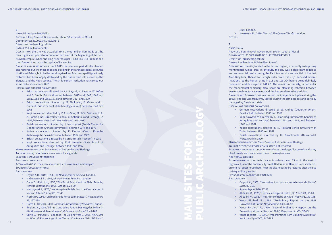# **8**

Name: Nimrud/ancient Kalhu

Province: Iraq, Nineveh Governorate, about 30 km south of Mosul Coordinates: 36.09915° N, 43.3275° E

DEFINITION: archaeological site

### DATING: VI-I millennium BCE

Description: the site was occupied from the 6th millennium BCE, but the most significant period of occupation occurred at the beginning of the neo-Assyrian empire, when the king Ashurnasirpal II (883-859 BCE) rebuilt and transformed Nimrud as the capital of his empire.

Damages and restorations: until 2013 the site was periodically cleaned and restored but the most imposing building in the archaeological area, the Northwest Palace, built by the neo-Assyrian king Ashurnasirpal II (previously restored) has been largely destroyed by the Daesh terrorists as well as the ziqqurat and the Nabu temple. The Smithsonian Institution has carried out some restorations since 2018.

PREVIOUS OR CURRENT EXCAVATIONS:

- British excavations directed by A.H. Layard, H. Rassam, W. Loftus and G. Smith (British Museum) between 1845 and 1847, 1849 and 1851, 1853 and 1855, 1873 and between 1877 and 1879
- • British excavations directed by M. Mallowan, D. Oates and J. Orchard (British School of Archaeology in Iraq) between 1949 and 1963
- Iraqi excavations directed by B.A. es-Soof, M. Sa'id Said and H.A. el-Hamid (Iraqi Directorate General of Antiquities and Heritage) in 1956, between 1959 and 1960, 1969 and 1978, 1982
- • Polish excavations directed by J. Meuszynski (Polish Center for Mediterranean Archaeology Project) between 1974 and 1976
- • Italian excavations directed by P. Fiorina (Centro Ricerche Archeologiche Scavi di Torino) between 1987 and 1989
- • British excavations directed by J. Curtis (British Museum) in 1989
- • Iraqi excavations directed by M.M. Hussain (State Board of Antiquities and Heritage) between 1988 and 1992

Management/direction: State Board of Antiquities and Heritage Tourist office/ticket office and staff: local guards SECURITY MEASURES: not reported

Accommodations: the nearest medium size town is al-Hamdaniyah Sponsors/collaborations: -

*2002,* London. • Hussein M.M., 2016, *Nimrud: The Queens' Tombs*, London. NOTES: -

### Additional services: -

Bibliography:

Additional services: by Iraqi military armies. Sponsors/collaborations: UNESCO BIBLIOGRAPHY:

- • Layard A.H., 1849-1853, *The Monuments of Nineveh*, London.
- • Mallowan M.E.L., 1966, *Nimrud and its Remains*, London.
- • Oates D. Reid J.H., 1956, "The Burnt Palace and the Nabu Temple; Nimrud Excavations, 1955, *Iraq* 18/1, 22-39.
- Meuszynski J., 1976, "Neo-Assyrian Reliefs from the Central Area of Nimrud Citadel", *Iraq* 381, 37-43.
- • Fiorina P., 1998, "Un braciere da Forte Salmanassar", *Mesopotamia*  33, 167-188.
- Oates J. Oates D., 2001, *Nimrud: An Imperial City Revealed*, London.
- • Englund K., 2003, "Nimrud und seine Funde: Der Weg der Reliefs in die Museen und Sammlungen", *Orient-Archäologie* 12, 43-160.
- • Curtis J. McCall H. Collon D. al-Gailani Werr L., 2008, *New Light on Nimrud: Proceedings of the Nimrud Conference 11th-13th March*

### **9**

Name: Hatra DEFINITION: archaeological site damaged by Daesh terrorists. Previous or current excavations:

- • German excavations directed by W. Andrae (Deutsche Orient-Gesellschaft) between 1906 and 1911
- Iraqi excavations directed by F. Safar (Iraqi Directorate General of Antiquities and Heritage) between 1951 and 1955, and between 1960 and 1967
- 
- Province: Iraq, Nineveh Governorate, 100 km south of Mosul
- Coordinates: 35.58805764002º N, 42.71688045513° E
	-
- Dating: I millennium BCE-I millennium AD
- Description: the site, located in the Jazirah region, is currently an imposing monumental ruined area. In antiquity the city was a significant religious and commercial centre during the Parthian empire and capital of the first Arab Kingdom. Thanks to its high outer walls the city survived several invasions (by the Roman army in 116 and 198 AD) before being definitely conquered and destroyed in 241 AD. The remains of the city, in particular the monumental sanctuary area, show an interesting cohesion between western architectural elements and the Eastern decorative tradition.
- DAMAGES AND RESTORATIONS: restoration Iraqi projects took place during the 1980s. The site was frequently looted during the last decades and partially
	-
	- • Italian excavations directed by R. Ricciardi Venco (University of Turin) between 1986 and 1989
		- Polish excavations directed by M. Gawlikowski (Uniwersytet
- Management/direction: State Board of Antiquities and Heritage
- Tourist office/ticket office and staff: not reported
- SECURITY MEASURES: an outer fence encloses the site; police guards and army checkpoints are located near the archaeological area
- Accommodations: the site is located in a desert area, 25 km to the west of Highway 1; near the ancient city small Bedouins settlements are scattered; an original guest house hotel near the site needs to be restored after the use
	-
	- • Caquot A., 1952, "Nouvelles inscriptions araméennes de Hatra",
	- • *Sumer Report* 8-10, 17-23.
	- • Al-Salihi W., 1973, "Hercules-Nergal at Hatra (II)", *Iraq* 35/1, 65-69.
	- • Al-Salihi W., 1983, "The Shrine of Nebo at Hatra", *Iraq* 45/1, 140-145. • Venco Ricciardi R., 1988, "Preliminary Report on the 1987 Excavation at Hatra", *Mesopotamia* XXIII, 31-42.
	- • Venco Ricciardi R., 1990, "Second Preliminary Report on the Excavation at Hatra (Season 1988)", *Mesopotamia* XXV, 37-45.

Warszawski) in 1990

- *Syria,* 89-118.
- 
- 
- 
- 
- 
- • Venco Ricciardi R., 1996, "Wall Paintings from Building A at Hatra", *Iranica Antiqua* XXXI, 147-165.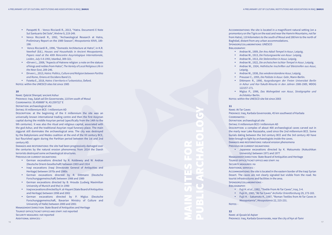16

MAIN SITES FOR

PUBLIC ARCHAEOLOGY

- • Parapetti R. Venco Ricciardi R., 2013, "Hatra. Documenti E Note Sul Santuario Del Sole", *Mnème* 9, 219-249.
- • Venco Ricciardi R., 1992, "Archaeological Research at Hatra, Preliminary Report on the 1989 Season", *Mesopotamia* XXVII, 189- 198.
- • Venco Ricciardi R., 1996, "Domestic Architecture at Hatra", in K.R. Veenhof (Ed.), *Houses and Households in Ancient Mesopotamia. Papers read at the 40th Rencontre Assyriologique Internationale, Leiden, July 5-8-1993*, Istanbul, 309-321.
- • •Dirven L., 2008, "Aspects of Hatrene religion: a note on the statues of kings and nobles from Hatra", *The Variety of Local Religious Life in the Near East*, 209-246.
- • Dirven L., 2013, *Hatra: Politics, Culture and Religion between Parthia and Rome*, Oriens et Occidens Band 21.
- • Foietta E., 2018, *Hatra: il territorio e l'urbanistica*, Oxford. NOTES: within the UNESCO sites list since 1985

DESCRIPTION: at the beginning of the II millennium the site was an universally known international trading centre and then the first Assyrian capital during the middle Assyrian period (specifically from the 14th to the 9th centuries). It was also the ritual and religious capital, associated with the god Ashur, and the traditional Assyrian royal funerary place. The main ziggurat still dominates the archaeological area. The city was destroyed by the Babylonians and Medes coalition at the end of the VII century BCE, but flourished again during the Parthian period between the 1st and 2nd century AD.

### **10**

Name: Qala'at Sherqat/ ancient Ashur

Province: Iraq, Salah ad Din Governorate, 110 km south of Mosul Coordinates: 35.458889° N, 43.259722° E

DEFINITION: archaeological site

DATING: III millennium BCE- I millennium AD

Damages and restorations: the site had been progressively damaged over the centuries by the natural erosion phenomena; from 2014 the Daesh terrorists destroyed some archaeological structures.

PREVIOUS OR CURRENT EXCAVATIONS:

Name: At-Tar Caves Province: Iraq, Karbala Governorate, 45 km southwest of Karbala Coordinates: - DEFINITION: archaeological site Dating: II millennium BCE-I millennium AD Description: a complex of about 400 archaeological caves carved out in the marly near Lake Razzazaha, used since the 2nd millennium BCE. Some burials dating between the 3rd century BCE and the 3rd century AD have been brough to light by archaeologists inside the caves. Damages and restorations: natural erosion phenomena PREVIOUS OR CURRENT EXCAVATIONS:

- • German excavations directed by R. Koldewey and W. Andrae (Deutsche Orient-Gesellschaft) between 1903 and 1914
- • Iraqi excavations (Iraqi Directorate General of Antiquities and Heritage) between 1970s and 1980s
- • German excavations directed by R. Dittmann (Deutsche Forschungsgemeinschaft) between 1988 and 1989
- • German excavations directed by B. Hrouda (Ludwig Maximilian University of Munich and the) in 1990
- • Iraqi excavations directed by H. al-Hayani (State Board of Antiquities and Heritage) between 1998 and 2002
- • German excavations directed by P. Miglus (Deutsche Forschungsgemeinschaft, Bavarian Ministry of Culture and University of Halle) between 2000 and 2001

Management/direction: State Board of Antiquities and Heritage Tourist office/ticket office and staff: not reported SECURITY MEASURES: not reported Additional services: -

Accommodations: the site is located in a magnificent natural setting (on a promontory on the Tigris on the east and near the Hamrin Mountains, not far from Hatra), 110 kilometers to the south of Mosul and 280 km to the north of Baghdad, distant from any urban accommodations. Sponsors/collaborations: UNESCO

Bibliography:

• Andrae W., 1909, *Der Anu-Adad-Tempel in Assur*, Leipzig.

• Andrae W., 1913, *Die Festungswerke von Assur*. Leipzig.

• Andrae W., 1913, *Die Stelenreihen in Assur,* Leipzig.

• Andrae W., 1922, *Die archaischen Ischtar-Tempel in Assur*, Leipzig.

• Andrae W., 1924, *Hethitische Inschriften auf Bleistreifen aus Assur,* 

Leipzig.

• Andrae W., 1938, *Das wiedererstandene Assur,* Leipzig.

• Preusser C., 1955, *Die Paläste in Assur. Gebr*, Mann-Berlin.

• Dittmann R., 1990, *Ausgrabungen der Freien Universitat Berlin in Ashur und Kar-Tukulti-Ninurta in den Jahren 1986-1989*, MDOG

122157-171.

• Miglus P., 1996, *Das Wohngebiet von Assur, Stratigraphie und Architektur* Berlin.

NOTES: within the UNESCO site list since 2003

### **11**

• Japanese excavations directed by K. Matsumoto (Kokushikan University) between 1971 and 1977 Management/direction: State Board of Antiquities and Heritage Tourist office/ticket office and staff: no Security measures: no Additional services: - Accommodations: the site is located in the eastern border of the Iraqi Syrian Desert. The caves are not clearly signaled but visible from the road. No tourist infrastructures and facilities in the area. Sponsors/collaborations: - Bibliography:

- 
- 
- 

NOTES: -

• Fuji H. *et al*., 1982, "Textile From At-Tar Caves", *Iraq*, 3-4. • Fujii H., 1983, "At-Tar Caves" *Archivfur Orientforshung* 29, 173-183. • Fujii H. - Sakamoto K., 1987, "Roman Textiles from At-Tar Caves in Mesopotamia", *Mesopotamia* 22, 215-231.

### **12**

Name: al-Qusair/al-Aqiser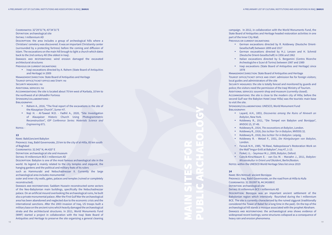### Coordinates: 32°29′51″N, 43°34′31″E

Definition: archaeological site

Dating: I millennium AD

DESCRIPTION: the area includes a group of archeological hills where a Christians' cemetery was discovered. It was an important Christianity center (surrounded by a protecting fortress) before the coming and diffusion of Islam. The excavations on the main hill brough to light a church which dates back to the 2nd century AD (the oldest in Iraq).

• Iraqi excavations directed by A. Rahem (State Board of Antiquities and Heritage) in 2009

Damages and restorations: wind erosion damaged the excavated architectural structures

PREVIOUS OR CURRENT EXCAVATIONS:

Management/direction: State Board of Antiquities and Heritage Tourist office/ticket office and Staff: no

Security measures: no

Additional services: no

Accommodations: the site is located about 70 km west of Karbala, 10 km to the northwest of al-Ukhaidhir Fortress

Sponsors/collaborations: -

Bibliography:

- • Rahem A., 2016, "The final report of the excavations in the site of the Alauqaiser Church", *Sumer* 47.
- • Naji H. Al-Taweel M.D. Fadhil A., 2020, "Site Investigation of Alauqaiser Historic Church Using Photogrammetric Reconstruction", *IOP Conference Series: Materials Science and Engineering* 671.

NOTES: -

### **13**

Name: Babil/ancient Babylon

Province: Iraq, Babil Governorate, 25 km to the city of al-Hilla, 85 km south of Baghdad

Coordinates: 32.542° N, 44.420° E

DEFINITION: archaeological site and museum

Dating: III millennium BCE-I millennium AD

Description: Babylon is one of the most famous archaeological site in the world. Its legend is mainly related to the city temples and ziqqurat, the hanging gardens and the political and military feats of its rulers

such as Hammurabi and Nebuchadnezzar II. Currently the large archaeological area includes monumental

MANAGEMENT/DIRECTION: State Board of Antiquities and Heritage TOURIST OFFICE/TICKET OFFICE AND STAFF: admission fee for foreign visitors; local guides and administrators of the site SECURITY MEASURES: the site is totally fenced and monitored by guards and police; the visitors need the permission of the Iraqi Ministry of Tourism. ADDITIONAL SERVICES: souvenir shop and museum (currently closed). Accommodations: the site is close to the modern city of Hilla; before the second Gulf war the Babylon Hotel (near Hilla) was the touristic main base to visit the site. Sponsors/collaborations: UNESCO, World Monument Fund Bibliography:

outer and inner city walls, gates, palaces and temples (ruined or completely reconstructed).

Damages and restorations: Saddam Hussein reconstructed some sectors of the Neo-Babylonian main buildings, specifically the Nebuchadnezzar palace. On an artificial mound overlooking the archaeological ruins, he built also a private monumental palace. After the First Gulf War the archaeological area has been abandoned and neglected due to the economic crisis and the international sanctions. After the 2003 invasion of Iraq, US troops built a military base on the ancient ruins which heavily damaged the archaeological strata and the architectural structures. In 2011, World Monuments Fund (WMF) started a project in collaboration with the Iraqi State Board of Antiquities and Heritage to preserve the site organizing a general cleaning

campaign. In 2012, in collaboration with the World Monuments Fund, the State Board of Antiquities and Heritage headed restoration activities in one part of the Inner City Wall. Previous or current excavations:

• German excavations directed by R. Koldewey (Deutsche Orient-Gesellschaft) between 1899 and 1917

• German excavations directed by H.J. Lenzen and H. Schmid (Deutsche Orient-Gesellschaft) in 1956 and 1962

• Italian excavations directed by G. Bergamini (Centro Ricerche Archeologiche e Scavi di Torino) between 1987 and 1989

• Iraqi excavations (State Board of Antiquities and Heritage) since

- 
- 
- 
- 1978

• Layard, A.H., 1853, *Discoveries among the Ruins of Nineveh an* 

• Koldewey R., 1911, "Die Tempel von Babylon und Borsippa",

• Koldewey R., 1914, *The excavations at Babylon*, London.

- *Babylon*, New York.
- *WVDOG* 15, 37-49.
- 
- 
- 
- London.
- 
- 
- 

NOTES: within the UNESCO World Heritage Sites list since 2019

• Koldewey R., 1918, *Das Ischtar-Tor in Babylon*, WVDOG 32.

• Koldewey R., 1918, *Das Ischtar-Tor in Babylon*. Leipzig.

• Koldewey R. - Wetzel F., 1931, *Die Königsburgen von Babylon*,

• Farouk N.H., 1985, "Al-Rawi, Nabopolassar's Restoration Work on the Wall"Imgur-Enlil at Babylon", *Iraq* 47, 1-13.

• Finkel, I.L. - Seymour M.J., 2009, *Babylon*, Oxford.

Cancik-Kirschbaum E. - van Ess M. - Marzahn J., 2011, *Babylon:* 

*Wissenskultur in Orient und Okzident*, Berlin/Boston.

### **14**

Name: Birs Nimrud/ ancient Borsippa Province: Iraq, Babil Governorate, on the road from al-Hilla to Kufa Coordinates: 32.391997 N, 44.341688 E DEFINITION: archaeological site Dating: III millennium BCE-I millennium AD DESCRIPTION: Borsippa was an important ancient settlement of the Babylonian region which intensively flourished during the I millennium BCE. The site is currently characterized by the ruined ziggurat (traditionally considered the Tower of Babel for a long time in the past). On the top of the archaeological hill stands a mosque associated with the prophet Abraham. Damages and restorations: the archaeological area shows evidence of widespread recent lootings; some structures collapsed as a consequence of heavy rain and erosion phenomena.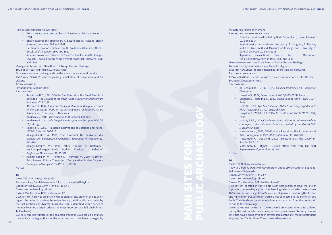MAIN SITES FOR

PUBLIC ARCHAEOLOGY

PREVIOUS OR CURRENT EXCAVATIONS:

- British excavations directed by H.C. Rawlinson (British Museum) in 1854
- British excavations directed by A. Layard and H. Rassam (British) Museum) between 1887 and 1881
- • German excavations directed by R. Koldewey (Deutsche Orient-Gesellschaft) between 1899 and 1917
- • Austrian excavations directed H. Piesl-Trenkwalder and W. Allinger-Csollich (Leopold-Franzens-Universität Innsbruck) between 1980 and 1994

SECURITY MEASURES: police guards on the site; no fence around the site ADDITIONAL SERVICES: vehicles parking; small store of drinks and food for visitors.

• Rawlinson H.C., 1861, "On the Birs Nimrud, or the Great Temple of Borsippa", *The Journal of the Royal Asiatic Society of Great Britain and Ireland* 18, 1-34.

Management/direction: State Board of Antiquities and Heritage Tourist office/ticket office and Staff: no

Accommodations: -

Sponsors/collaborations: -

Bibliography:

 Rassam H., 1897, *Ashur and the Land of Nimrod: Being an Account of the Discoveries Made in the Ancient Ruins of Nineveh, Ashur, Sepharvaim, Calah, (etc)...* , New York.

the natural erosion phenomena. PREVIOUS OR CURRENT EXCAVATIONS:

> • Anglo-American excavations directed by S. Langdon, E. MacKay and L.C. Watelin (Field Museum of Chicago and University of Oxford) between 1923 and 1933

- • Koldewey R., 1914, *The excavations at Babylon*, London.
- • Koldewey R., 1911, *Die Tempel von Babylon und Borsippa*, WVDOG 15, Leipzig.
- • Reade J.R., 1986, " Rassam's Excavations at Borsippa and Kutha, 1879-82", *Iraq* 48, 105-116.
- • Allinger-Csollich W., 1991, "Birs Nimrud I. Die Baukörper der Ziqqurat von Borsippa, ein Vorbericht", *Baghdader Mitteilungen* 22, 383-499.
- • Allinger-Csollich W., 1998, "Birs Nimrud II: Tieftempel-Hochtempel:Vergleichende Studien Borsippa - Babylon", *Baghdader Mitteilungen* 29, 95-330.
- • Allinger-Csollich W. Heinsch S. Kuntner W., 2010, "Babylon. Past, Present, Future. The project "Comparative Studies Babylon-Borsippa": a Synopsis," *ICAANE* 6 (1), 29–38.

Notes: -

### **15**

Name: Tell al-Uhaimir/ancient Kish

• Matsumoto K., 1991, "Preliminary Report on the Excavations at Kish/Hursagkalama 1988–1989", *al-Rafidan* 12, 261-307.

• Matsumoto K. - Oguchi H., 2002, "Excavations at Kish, 2000", al-

Province: Iraq, Babil Governorate, 15 km to the east of Babylon Coordinates: 32.55305897º N, 44.58971846º E Definition: archaeological site

DATING: V millennium BCE-I millennium AD

Description: Kish was an ancient Mesopotamian city-state, in the Babylon region. According to ancient Sumerian literary tradition, Kish was ruled by the first postdiluvian dynasty. Currently Kish is identified with a series of mounds covering a large surface (the most important are Tell Uhaimir and Tell Ingharra).

Damages and restorations: the coalition troops in 2003 set up a military base at Kish damaging the site; the structures also have been damaged by

- 1912 and 1914
- 
- 

• Japanese excavations directed by K. Matsumoto (KokushikanUniversity) in 1988, 2000 and 2001

Management/direction: State Board of Antiquities and Heritage

Tourist office/ticket office and Staff: local guards Security measures: the site is fenced but there is no police guards Additional services: - Accommodations: the site is close to the accommodations of al-Hilla city Sponsors/collaborations: - Bibliography :

• de Genouillac H., 1924-1925, *Fouilles françaises d'El-`Akhymer*,

• Langdon S., 1924, *Excavations at Kish I (1923–1924)*, Paris.

• Langdon S. - Watelin L.C., 1930, *Excavations at Kish III (1925–1927),* 

• Field H., 1929, *The Field Museum-Oxford University expedition to Kish, Mesopotamia, 1923–1929,* Chicago.

• Langdon S - Watelin L.C, 1934, *Excavations at Kish IV (1925–1930),* 

- Champion.
- 
- Paris.
- 
- Paris.
- *Museum,* Chicago.
- 
- *Rafidan* 23, 1-16.
- 

NOTES: -

• Moorey P.R.S., 1978, *Kish Excavations, 1923–1933 : with a microfiche catalogue of the objects in Oxford excavated by the Oxford-Field* 

• Matsumoto K. - Oguchi H., 2004, "News from Kish: The 2001 Japanese Work", *al-Rafidan* 25, 1-8.

### **16**

Name: Tell Nuffar/ancient Nippur Province: Iraq, Al Qadisiyah Governorate, about 180 km south of Baghdad, 36 km from Diwaniyah Coordinates: 32.123° N, 45.235° E Definition: archaeological site DATING: VI millennium BCE- I millennium AD Description: located in the Middle Euphrates region of Iraq, the site of Nippur is composed by a group of archaeological mounds which extend over 168 ha. Nippur was a significant Sumerian religious centre during the 3rd and 2nd millennium BCE (the main worship was connected to the Sumerian god Enlil). The site shows a continuous human occupation from the prehistoric period to the Islamic age. Damages and restorations: the excavated architectural remains suffered during the last decades from heavy erosion phenomena. Recently, looting activities have been identified in several areas of the site, mainly around the ziggurat, the "Tablet Mound" and the northern sectors.

• French excavations directed by H. de Genouillac (Louvre) between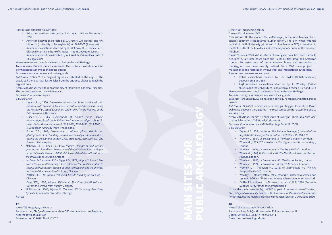PREVIOUS OR CURRENT EXCAVATIONS:

- • British excavations directed by A.H. Layard (British Museum) in 1851
- American excavations directed by J.P. Peters, J.H. Haynes, and H.V. Hilprecht (University of Pennsylvania) in 1888-1900 (4 seasons)
- American excavations directed by D. McCown, R.C. Haines, McG. Gibson (Oriental Institute of Chicago) in 1948-1990 (19 seasons)
- • American excavations directed by A. Alizadeh (Oriental Institute of Chicago) 2019-

ADDITIONAL SERVICES: the original dig house, situated at the edge of the site, is still there. A track for vehicles from the entrance allows to reach the ziggurat area

Management/direction: State Board of Antiquities and Heritage TOURIST OFFICE/TICKET OFFICE AND STAFF: The visitors must show official permission documents to the police guards

SECURITY MEASURES: fences and police guards

Accommodations: the site is near the city of Afak which has small facilities. The best nearest hotels are in Diwaniyah

Sponsors/collaborations: -

Bibliography:

Damages and restorations: the archaeological area has been partially occupied by air force bases since the 1930s (British, Iraqi and American troops). Reconstructions of the Abraham's house and restoration of the ziggurat have been recently realized. Since 2009 some projects of maintenance and restoration involve Iraqi and international authorities. PREVIOUS OR CURRENT EXCAVATIONS:

- • Layard A.H., 1856, *Discoveries among the Ruins of Nineveh and Babylon; with Travels in Armenia, Kurdistan, and the Desert: Being the Result of a Second Expedition Undertaken for the Trustees of the British Museum*, New York.
- • Fisher C.S., 1905, *Excavations at Nippur: plans, details andphotographs of the buildings, with numerous objects found in them during the excavations of 1889, 1890, 1893-1896, 1899-1900: v. 1: Topography and city walls,* Philadelphia.
- • Fisher C.S., 1907, *Excavations at Nippur: plans, details and photographs of the buildings, with numerous objects found in them during the excavations of 1889, 1890, 1893-1896, 1899-1900: v.2 : The Fortress*, Philadelphia.
- • McCown D.E. Haines R.C., 1967, *Nippur I, Temple of Enlil, Scribal Quarter, and Soundings: Excavations of the Joint Expedition to Nippur of the University Museum of Philadelphia and the Oriental Institute of the University of Chicago*, Chicago.
- • McCown D.E. Haines R.C. Biggs R.D., 1978, *Nippur, Volume 2. The North Temple and Sounding E: Excavations of the Joint Expedition to Nippur of the American Schools of Oriental Research and the Oriental Institute of the University of Chicago*, Chicago.
- • Zettler R.L., 1993, *Nippur, Volume 3: Kassite Buildings in Area WC-1*, Chicago.
- • Cole S.W., 1996, *Nippur, Volume 4: The Early Neo-Babylonian Governor's Archive from Nippur*, Chicago.
- • McMahon A., 2006, *Nippur V: The Area WF Sounding: The Early Dynastic to Akkadian Transition*, Chicago.

NOTES: -

• Anglo-American excavations directed by L. Woolley (British Museumand the University of Pennsylvania) between 1922 and 1934 Management/direction: State Board of Antiquities and Heritage

TOURIST OFFICE/TICKET OFFICE AND STAFF: local guards

SECURITY MEASURES: in 2014 it has been partially re-fenced and gated. Police

ADDITIONAL SERVICES: reception centre and golf buggies for visitors. Paved walkways between the ziggurat. The royal tombs are not accessible due to

### **17**

NOTES: the site is protected by UNESCO as part of the *Ahwar area of Southern Iraq, refuge of biodiversity and the relict landscape of the Mesopotamian cities* (which includes the marshland area and the ancient cities of Ur, Uruk and Eridu).

Name: Tell Muqayyar/ancient Ur Province: Iraq, Dhi Qar Governorate, about 365 kilometers south of Baghdad, near the town of Nasiriyah Coordinates: 30.9626º N, 46.1030º E

Definition: archaeological site DATING: V-I millennium BCE Abraham.

Description: Ur, the modern Tell al-Muqayyar, is the most famous city of ancient southern Mesopotamia (Sumer region). The city, which was the capital of the Ur III dynasty (at the end of III millennium BCE) is described in the Bible as Ur of the Chaldees and as the legendary home of the patriarch

• British excavations directed by J.G. Taylor (British Museum) between 1853 and 1854

guards

security risks.

Accommodations: the site is 12 km south of Nasiriyah. There is a 22 km local road which connects Tell Ubaid, Eridu and Ur.

Sponsors/collaborations: Global Heritage Fund; UNESCO

Bibliography:

• Taylor J.E.,1855, "Notes on the Ruins of Muqeyer", *Journal of the Royal Asiatic Society of Great Britain and Ireland* 15, 260–276.

• Woolley L., 1934*, Ur Excavations II: The Royal Cemetery,* London.

• Woolley L., 1939, *Ur Excavations V: The ziggurat and its surroundings,* 

• Woolley L., 1955, *Ur excavations IV: The Early Periods,* London. • Woolley L., 1962, *Ur Excavations IX: The Neo-Babylonian and Persian* 

- 
- - London.
- 
- *Periods,* London.
- 
- 
- 
- 
- 

• Woolley L., 1965, *Ur Excavations VIII: The Kassite Period,* London.

• Woolley L., 1974, *Ur Excavations VI: The Ur III Period*, London.

• Woolley L. - Mallowan M., 1976, *Ur Excavations VII: The Old Babylonian Period*, London.

• Woolley L. - Moorey P.R.S., 1982, *Ur of the Chaldees: A Revised and Updated Edition of Sir Leonard Woolley's Excavations at Ur*, New York. • Zettler R.L. - Horne L. - Pittman H. - Hansen D.P., 1998. *Treasures from the Royal Tombs of Ur*, Philadelphia.

### **18**

Name: Tell Abu Shahrain/ancient Eridu Province: Iraq, Dhi Qar Governorate, 12 km southwest of Ur Coordinates: 30.815839° N, 45.996069° E Definition: archaeological site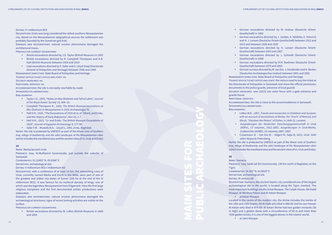### Dating: V-I millennium BCE

Description: Eridu was long considered the oldest southern Mesopotamian city. Based on the Mesopotamian epigraphical sources the settlement was probably founded by the Sumerian god Enki.

Damages and restorations: natural erosion phenomena damaged the architectural traces.

PREVIOUS OR CURRENT EXCAVATIONS:

MANAGEMENT/DIRECTION: State Board of Antiquities and Heritage Tourist office/ticket office and staff: no

- • British excavations directed by J.G. Taylor (British Museum) in 1855
- • British excavations directed by R. Campbell Thompson and H.R. Hall (British Museum) between 1918 and 1919
- Iraqi excavations directed by F. Safar and S. Lloyd (Iraqi Directorate General of Antiquities and Heritage) between 1946 and 1949

NOTES: the site is protected by UNESCO as part of the *Ahwar area of Southern Iraq, refuge of biodiversity and the relict landscape of the Mesopotamian cities* (which includes the marshland area and the ancient cities of Ur, Uruk and Eridu)

Security measures: no

Additional services: no

Accommodations: the site is not easily reachable by roads Sponsors/collaborations: -

Bibliography:

- • Taylor J.E., 1855, "Notes on Abu Shahrein and Tell el Lahm", *Journal of the Royal Asiatic Society* 15, 404–15.
- • Campbell Thompson R., 1920, *The British Museum excavations at Abu Shahrain in Mesopotamia in 1918*, Archaeologia 70.
- • Hall H.R., 1925, "The Excavations of 1919 at Ur, el-'Obeid, and Eridu, and the History of Early Babylonia", *Man* 25, 1-7.
- • Hall H.R., 1923, "Ur and Eridu: The British Museum Excavations of 1919", *Journal of Egyptian Archaeology* 9, 177-95.
- • Safar F.M. Mustafa M.A. Lloyd S., 1981, *Eridu*, Baghdad.

### **19**

### Name: Warka/ancient Uruk

Province: Iraq, Al-Muthannā Governorate, just outside the suburbs of Samawah

Coordinates: 31.32492° N, 45.6384° E

Definition: archaeological site

Dating: V millennium BCE-I millennium AD

Description: with a conference of at least 14 km, the astonishing ruins of Uruk, currently named Warka and Erech in the Bible, were part of one of the greatest and oldest city-states of Sumer (200 ha at the end of the IV millennium BCE). It was famous for its mythical dynasty of kings, one of which was the legendary Mesopotamian hero Gilgamesh. Here the first large religious complexes and the first documented artistic productions were elaborated.

Name: Samarra **Tigris** 

DEFINITION: archaeological site DATING: IX century AD • al Askari Mosque

Damages and restorations: natural erosion phenomena damaged the archaeological structures; signs of recent looting activities are visible on the surface.

PREVIOUS OR CURRENT EXCAVATIONS:

• British excavations directed by W. Loftus (British Museum) in 1850 and 1854

- 
- • German excavations directed by J. Jordan, A. Nöldeke, E. Heinrich and H. J. Lenzen (Deutsche Orient-Gesellschaft) between 1912 and 1913 and between 1928 and 1939
- • German excavations directed by H. Lenzen (Deutsche Orient-Gesellschaft) between 1953 and 1967
- 
- • German excavations directed by R.M. Boehmer (Deutsche Orient-Gesellschaft) between 1978 and 2002
- • German surveys directed by M. van Ess. J. Fassbinder and H. Becker (Deutsches Archäologisches Institut) between 2001 and 2002
- • German excavations directed by W. Andrae (Deutsche Orient-Gesellschaft) in 1902
- • German excavations directed by J. Schmidt (Deutsche Orient-Gesellschaft) in 1968
- MANAGEMENT/DIRECTION: State Board of Antiquities and Heritage
- TOURIST OFFICE/TICKET OFFICE AND STAFF: the visitors need to buy the ticket at the Directorate of Antiquities in Samawah and show the official permission documents to the police guards; presence of local guards
- SECURITY MEASURES: new (2013) site outer fence with a gate entrance and
- Accommodations: the site is close to the accommodations in Samawah
	- • Loftus W.K., 1857, *Travels and researches in Chaldaea and Susiana: with an account of excavations at Warka, the "Erech" of Nimrod, and Shush, "Shushan the Palace" of Esther, in 1849-52*, London.
	- • *Ausgrabungen der Deutschen Forschungsgemeinschaft in Uruk*  (ADFU), 17 volumes, 1912–2001. *Ausgrabungen in Uruk-Warka, Endberichte* (AUWE), 25 volumes,1987–2007.
	- • Crüsemann N. Van Ess M. Hilgert M. Salje B, 2013, *Uruk: 5000 Jahre Megacity* Petersberg.
- NOTES: the site is protected by UNESCO as part of the *Ahwar area of Southern Iraq, refuge of biodiversity and the relict landscape of the Mesopotamian cities* (which includes the marshland area and the ancient cities of Ur, Uruk and Eridu).

guards house Additional services: - Sponsors/collaborations: - Bibliography:

### **20**

Province: Iraq, Salah ad-Din Governorate, 130 km north of Baghdad, on the

- Coordinates: 34.361º N, 43.8025º E
	-
	-
- Description: Samarra, the ancient Islamic city considered one of the largest archaeological site in the world, is located along the Tigris riverbed. The most important buildings are the Great Mosque, The Caliph House, Abi Dalaf Mosque, Al-Ma'shuq Palace and Al-Askari Mosque:
	-
- Located in the centre of the modern city, the shrine includes the tombs of the 10th and 11th Imams, Ali Al-Hadi who died in 868 AD and his son Hassan Al-Askari who died in 874 AD. Al-Askari Shrine had two golden minarets (36 m high) and a golden dome with a circumference of 68 m and more than 7200 golden bricks; it is one of the biggest domes in the Islamic world.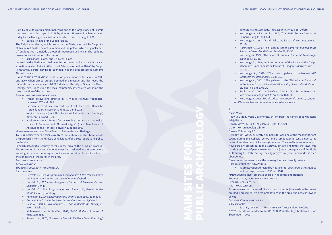Built by al Mutasim this monument was one of the largest ancient Islamic mosques. It was destroyed in 1278 by Mongols. However it is famous even today for the Malwiyya or spiral minaret which rises to a height of 52 m.

• Bayt al-Khalifa or the Caliph Palace,

The Caliph's residence, which overlooks the Tigris, was built by Caliph Al-Mutasim in 835 AD. The actual remains of the palace, which originally had a front long 700 m, include a group of three preserved iwans. The building now requires restoration interventions.

• al Mashoof Palace, (the Beloved) Palace

Located on the Tigris about 10 km to the north-west of Samarra, this palace, sometimes called Al-Ashiq (the Lover) Palace, was built in 876 AD by Caliph Al-Mutamid, before moving to Baghdad. It is the best preserved Samarra Abbasid palace.

TOURIST OFFICE/TICKET OFFICE AND STAFF: the entrance in the shrine needs the permission from the Ministry of Religious Affairs. Local guards and police on the site

SECURITY MEASURES: security checks in the area of the Al-Askari Mosque. Photos are forbidden and cameras must be consigned at the gate before entering. Access to the mosque is not always permitted for visitors due to the conditions of insecurity in the area.

Damages and restorations: destruction phenomena of the shrine in 2006 and 2007 when armed groups bombed the mosque and destroyed the minarets. In the same year UNESCO declared the city of Samarra a World Heritage site. Since 2007 the local community intensively works on the reconstruction of the mosque.

PREVIOUS OR CURRENT EXCAVATIONS:

Sponsors/collaborations: UNESCO Bibliography:

- • French excavations directed by H. Viollet (Archives Nationales) between 1907 and 1909
- • German excavations directed by Ernst Herzfeld (Deutsche Morgenlandische Gesellschaft) in 1911 and 1913
- Iraqi excavations (Iraqi Directorate of Antiquities and Heritage) between 1936 and 1939
- • Iraqi excavations "Project for developing the two archaeological cities of Samarra and Mutawakkiliyya" (Iraqi Directorate of Antiquities and Heritage) between 1981 and 1983

• Northedge A., 1993, "An Interpretation of the Palace of the Caliph at Samarra (Dar al-Khilafa or Jawsaq al-Khaqani)", *Ars Orientalis* 23,

Management/direction: State Board of Antiquities and Heritage

• Northedge A., 2005, *The historical topography of Samarra*, London. NOTES: 80% of ancient settlement remains to be excavated.

# Additional services: -

Accommodations: -

Sponsors/collaborations: - BIBLIOGRAPHY:

- • Herzfeld E., 1923, *Ausgrabungen von Samarra I, Der Wandschmuck der Bauten von Samarra und seine Ornamentik*, Berlin.
- • Herzfeld E., 1927, *Ausgrabungen von Samarra III, Die Malereien von Samarra*, Berlin.
- • Herzfeld E., 1948, *Ausgrabungen von Samarra VI, Geschichte der Stadt Samarra*, Hamburg.
- • Runcinam S., 1940, *Excavations at Samarra 1936-1939*, Baghdad.
- • Creswell K.A.C., 1940, *Early Muslim Architecture*, vol. II, Oxford.
- • Susa A., 1948-9, *Rayy Samarra Fi `Ahd Al-Khilafa Al-`Abbasiyya,*  2Vols., Baghdad.
- • al-Samarrai Yunis Ibrahîm, 1968, *Tarikh Madinat Samarra*, 3 vols.,Baghdad.
- • Rogers J. M., 1970, "Samarra, a Study in Medieval Town-Planning",

in Hourani and Stern (eds.), *The Islamic City*, 119-55, Oxford. • Northedge A. - Falkner R., 1987, "The 1986 Survey Season at Samarra", *Iraq* 49, 143-173.

• Northedge A. 1987, "Karkh Fairuz at Samarra", *Mesopotamia* 22,

• Northedge A., 1990, "The Racecourses at Samarra", *Bulletin of the School of Oriental and African Studies* 53, 31-56.

• Northedge A., 1992, "The palace at Istabulat, Samarra", *Archéologie* 

- 
- 251-64.
- 
- *Islamique* 3, 61-86.
- 143-171.
- 
- 
- 

• Northedge A., 1999, "The Ja'fari palace of al-Mutawakkil", *Damaszener Mitteilungen* 11, 345-363.

• Northedge A., 2001, "The palaces of the 'Abbasids at Samarra", in Robinson C. (ed), *A Medieval Islamic City Reconsidered*, Oxford Studies in Islamic Art 14.

• Robinson C., 2001, *A Medieval Islamic City Reconsidered: An Interdisciplinary Approach to Samarra*, Oxford.

### **21**

Name: Wasit Province: Iraq, Wasit Governorate, 54 km from the centre of al-Kut along Adejail Road Coordinates: 32.3386109628° N, 45.9336111105° E Definition: archaeological site DATING: VIII century AD Description: Wasit, currently a ruined site, was one of the most important towns during the Abbasid period and a great Islamic centre due to its culturally and commercially strategic location. The most famous monument, now partially preserved, is the Gateway (in ancient times the town was considered a sort of passage to enter in Iraq). As a consequence of the Tigris shift during the 15th century, the city progressively declined and was then abandoned.

PREVIOUS/CURRENT EXCAVATIONS:

Damages and restorations: the gateway has been heavily restored.

• Iraqi excavations directed by F. Safar (Iraqi Directorate of Antiquities and Heritage) between 1936 and 1942

Management/direction: State Board of Antiquities and Heritage Tourist office/ticket office and staff: no Security measures: no Additional services: - Accommodations: It's very difficult to reach the site (the roads in the desert are badly preserved. No accommodations in the area; the nearest town is al-Kut

• Safar F., 1945, Wasit. *The sixth season's excavations*, Le Caire. NOTES: the site was added to the UNESCO World Heritage Tentative List on September 7, 2000.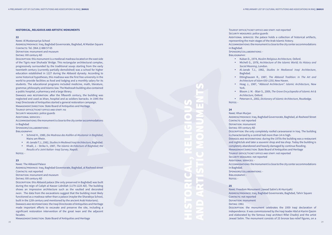HISTORICAL, RELIGIOUS

AND ARTISTIC MONUMENTS

CONTACTS: not reported DEFINITION: monument **DATING: 1961** 

### **HISTORICAL, RELIGIOUS AND ARTISTIC MONUMENTS**

### **22**

Name: Al Mustansariya School

Address/province: Iraq, Baghdad Governorate, Baghdad, Al Maidan Square Contacts: Tel. (964.1) 888 57 65 Definition: monument and museum

DATING: XIII century AD

Description: this monument is a medieval madrasa located on the east side of the Tigris near Shuhada' Bridge. This rectangular architectural complex, progressively surrounded by the traditional souqs starting from the early twentieth century (currently partially demolished) was a school for higher education established in 1227 during the Abbasid dynasty. According to some historical hypotheses, this madrasa was the first free university in the world to provide facilities as food and lodging and a monthly salary for its students. The educational programs included medicine, math, literature, grammar, philosophy and Islamic law. The Madrasah building also contained a public hospital, a pharmacy and a large library.

Address/province: Iraq, Baghdad Governorate, Baghdad, al Rasheed street CONTACTS: not reported

DEFINITION: monument and museum

DATING: XIII century AD

Damages and restoration: after the fifteenth century, the building was neglected and used as khan, hospital and as soldiers barracks. In 1945 the Iraqi Directorate of Antiquities started a general restoration campaign.

Management/direction: State Board of Antiquities and Heritage

Tourist office/ticket office and staff: no

SECURITY MEASURES: police guards

Additional services: -

Accommodations: the monument is close to the city center accommodations in Baghdad

SECURITY MEASURES: police guards in Baghdad. Sponsors/collaborations: - Bibliography :

Sponsors/collaborations: -

Bibliography :

- • Schmid H., 1980, *Die Madrasa des Kalifen al-Mustansir in Baghdad*, Mainz am Rhein.
- • Al-Janabi T.J., 1982, *Studies In Medieval Iraqi Architecture*, Baghdad.
- • Khalil, J. Strika V., 1987, *The Islamic Architecture of Baghdad; the Results of a Joint Italian -Iraqi Survey*, Napoli.

NOTES: -

Name: Khan Murjan CONTACTS: not reported DEFINITION: monument DATING: XIV century AD SECURITY MEASURES: not reported Additional services: in Baghdad. Sponsors/collaborations: - BIBLIOGRAPHY: -NOTES: -

### **23**

 $28$ 

Name: The Abbasid Palace

Description: this Abbasid palace (the only preserved in Baghdad) was built during the reign of Caliph al Nasser Lidnillah (1179-1225 AD). The building shows an impressive architecture such as the vaulted and decorated *iwan*. The data from the excavations suggest that the building most likely functioned as a madrasa rather than a palace (maybe the Sharabiya School, built in the 12th century and mentioned by the ancient Arab historians). Damages and restorations: the Iraqi Directorate of Antiquities and Heritage

made important efforts to excavate and preserve the site, including a significant restoration intervention of the great iwan and the adjacent facades.

Management/direction: State Board of Antiquities and Heritage

- • Al-Janab T.J., 1982, *Studies In Mediaeval Iraqi Architecture*, Baghdad.
- • Ettinghausen R., 1987, *The Abbasid Tradition: In The Art and Architecture of Islam 650-1250*, New Haven. • Hoag J., 1987, "*Abbasid Architecture". Islamic Architecture*, New
- York.
- 

NOTES: -

- Tourist office/ticket office and staff: not reported
	-
- ADDITIONAL SERVICES: the palace holds a collection of historical artifacts, representing the main stages of the Arab Islamic history.
- Accommodations: the monument is close to the city center accommodations
	- • Kuban D., 1974, *Muslim Religious Architecture,* Oxford. • Michell G., 1978, *Architecture of the Islamic World; Its History and Social Meaning*, London.
		- Bloom J. M. Blair S., 2009, *The Grove Encyclopedia of Islamic Art & Architecture*, Oxford.
	- • Petersen A., 2002, *Dictionary of Islamic Architecture*, Routledge.
- Address/province: Iraq, Baghdad Governorate, Baghdad, al-Rasheed Street
	-
	-
- Description: the only completely roofed caravanserai in Iraq. The building is characterized by a central hall more than 14 m high.
- Damages and restorations: during the 1970s the building was a restaurant and nightclub and later a souvenir shop and tea shop. Today the building is completely abandoned and heavily damaged by continue flooding.
- MANAGEMENT/DIRECTION: State Board of Antiquities and Heritage
- Tourist office/ticket office and staff: not reported
	-
	-
- Accommodations: the monument is close to the city center accommodations
- Name: Freedom Monument (Jawad Salim's Al-Hurriyah)
- Address/province: Iraq, Baghdad Governorate, Baghdad, Tahrir Square
	-

### **24**

### **25**

Description: the monument celebrates the 1959 Iraqi declaration of independence. It was commissioned by the Iraqi leader Abd al-Karim Qasim and elaborated by the famous Iraqi architect Rifat Chadirji and the artist Jewad Selim. The monument consists of 25 bronze bas-relief figures, on a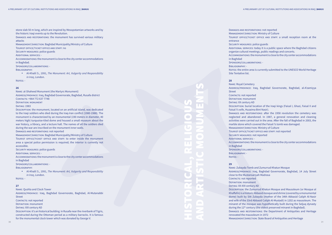stone slab 50 m long, which are inspired by Mesopotamian artworks and by the historic Iraqi events up to the Revolution.

• Al-Khalil S., 1991, *The Monument: Art, Vulgarity and Responsibility in Iraq*, London. NOTES: -

Damages and restorations: the monument has survived various military attacks

Management/direction: Baghdad Municipality/Ministry of Culture

Tourist office/ticket office and staff: no

SECURITY MEASURES: police guards

Additional services: -

Accommodations: the monument is close to the city center accommodations in Baghdad.

Sponsors/collaborations: -

Bibliography:

# **26**

Name: al-Shaheed Monument (the Martyrs Monument)

TOURIST OFFICE/TICKET OFFICE AND STAFF: to enter inside the monument area a special police permission is required; the interior is currently not accessible.

SECURITY MEASURES: police guards

Address/province: Iraq, Baghdad Governorate, Baghdad, Rusafa district Contacts: +964 772 637 7748

Definition: monument

**DATING: 1983** 

Damages and restorations: not reported MANAGEMENT/DIRECTION: Ministry of Culture TOURIST OFFICE/TICKET OFFICE AND STAFF: a small reception room at the

ADDITIONAL SERVICES: today it is a public space where the Baghdad citizens

Description: the monument, located on an artificial island, was dedicated to the Iraqi soldiers who died during the Iraq-Iran conflict (1980-1988). The monument is characterized by an monumental (190 meters in diameter, 40 meters high) turquoise-tiled dome and housed a small museum about the war history, a library, and a lecture hall. The names of all the soldiers died during the war are inscribed on the monument inner walls.

entrance SECURITY MEASURES: police guards

Damages and restorations: not reported

MANAGEMENT/DIRECTION: Baghdad Municipality/Ministry of Culture

Name: Royal Cemetery Address/province: Iraq, Baghdad Governorate, Baghdad, al-A'zamiyya **Street** 

Additional services: -

Accommodations: the monument is close to the city center accommodations in Baghdad

- 
- 
- 
- DESCRIPTION: burial location of the Iraqi kings (Faisal I, Ghazi, Faisal II and
- DAMAGES AND RESTORATIONS: after the 1958 revolution the cemetery was neglected and abandoned. In 1987, a general renovation and cleaning activities were carried out in the area. After the fall of Baghdad in 2003, the marble stone which covered the Faisal I's tomb was damaged.
	-
- Tourist office/ticket office and staff: not reported
	-
	-

Sponsors/collaborations: -

Bibliography :

CONTACTS: not reported DEFINITION: monument DATING: XX century AD Faisal I's wife, Huzaima Bint Nasir). MANAGEMENT/DIRECTION: Ministry of Culture SECURITY MEASURES: not reported Additional services: in Baghdad Sponsors/collaborations: - Bibliography: - Notes: -

• Al-Khalil S., 1991, *The Monument: Art, Vulgarity and Responsibility in Iraq*, London.

NOTES: -

### **27**

Description: the Zumurrud Khatun Mosque and Mausoleum (or Mosque al Khaffafin) is a historic Abbasid mosque and shrine (covered by a monumental dome) built by Sitt Zubayda (mother of the 34th Abbasid Caliph Al-Nasir and wife of the 33rd Abbasid Caliph Al-Mustadi) in 1202 as mausoleum. The minaret of the mosque was hypothetically built during the Seljuq dynasty during the 12<sup>th</sup> century (the oldest preserved minaret in Baghdad).

Name: Qushla and Clock Tower Address/province: Iraq, Baghdad Governorate, Baghdad, Al-Mutanabbi Street CONTACTS: not reported DEFINITION: monument DATING: XIX century AD Description: it's an historical building in Rusafa near the riverbank of Tigris,

constructed during the Ottoman period as a military barracks. It is famous for the monumental clock tower which was donated by George V.

organize cultural meetings, public readings and concerts. Accommodations: the monument is close to the city center accommodations in Baghdad Sponsors/collaborations: - BIBLIOGRAPHY: -NOTES: the entire area is currently submitted to the UNESCO World Heritage Site Tentative list.

### **28**

Accommodations: the monument is close to the city center accommodations

### **29**

- Name: Zubayda Tomb and Zumurrud Khatun Mosque
- Address/province: Iraq, Baghdad Governorate, Baghdad, 14 July Street
	-
	-
	-

close to the Mustansariyah Madrasa CONTACTS: not reported DEFINITION: monument DATING: XII-XIII century AD renovated the mausoleum in 1972

Damages and restorations: the Department of Antiquities and Heritage

Management/direction: State Board of Antiquities and Heritage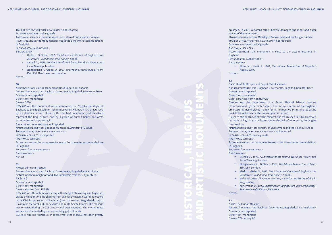ADDITIONAL SERVICES: the monument holds also a library, and a madrasa. Accommodations: the monument is close to the city center accommodations in Baghdad

### SECURITY MEASURES: police guards

Sponsors/collaborations: -

BIBLIOGRAPHY:

- CONTACTS: not reported
- Definition: monument

**DATING: 2010** 

- • Khalil J. Strika V., 1987, *The Islamic Architecture of Baghdad; the Results of a Joint Italian -Iraqi Survey*, Napoli.
- • Michell G., 1987, *Architecture of the Islamic World; Its History and Social Meaning*, London.
- • Ettinghausen R.- Grabar O., 1987, *The Art and Architecture of Islam 650-1250*, New Haven and London.

NOTES: -

### **30**

Name: Save-Iraqi-Culture Monument (Nasb Enqath al-Thaqafa *)* Address/province: Iraq, Baghdad Governorate, Baghdad, Damascus Street

Description: the monument was commissioned in 2010 by the Mayor of Baghdad to the Iraqi sculptor Mohammed Ghani Hikmat. It is characterized by a cylindrical stone column with inscribed cuneiform symbols which represent the Iraqi culture, and by a group of human hands and arms surrounding and supporting it.

Damages and restorations: not reported

MANAGEMENT/DIRECTION: Baghdad Municipality/Ministry of Culture

Bibliography : • Strika V. - Khalil J., 1987, *The Islamic Architecture of Baghdad*, Napoli, 1987. NOTES: -

Tourist office/ticket office and staff: no

SECURITY MEASURES: not reported

Additional services: -

Accommodations: the monument is close to the city center accommodations in Baghdad

Sponsors/collaborations: -

Bibliography: -

Notes: -

### **31**

Name: Kadhmayn Mosque

Address/province: Iraq, Baghdad Governorate, Baghdad, Al Kadhimayn district (northern neighborhood, five kilometers from the city center of Baghdad)

CONTACTS: not reported

DEFINITION: monument

DATING: starting from 799 AD

MANAGEMENT/DIRECTION: Ministry of Endowment and the Religious Affairs Tourist office/ticket office and staff: not reported SECURITY MEASURES: police guards Additional services: - Accommodations: the monument is close to the city center accommodations in Baghdad Sponsors/collaborations: -

Description: Al-Kadhimiyyah Mosque (the largest Shia mosque in Baghdad, visited by millions of Shia pilgrims from all over the Islamic world) is located in the Kādhimayn suburb of Baghdad (one of the oldest Baghdad districts). It contains the tombs of the seventh and ninth Shi'ite Imams. The mosque was renewed during the XVI century and later enlarged. The monumental entrance is dominated by four astonishing gold minarets.

Name: The Murjan Mosque Address/province: Iraq, Baghdad Governorate, Baghdad, al Rasheed Street CONTACTS: not reported DEFINITION: monument DATING: XIV century AD

Damages and restorations: in recent years the mosque has been greatly

enlarged. In 2004, a bombs attack heavily damaged the inner and outer

MANAGEMENT/DIRECTION: Ministry of Endowment and the Religious Affairs

spaces of the monument. Tourist office/ticket office and staff: not reported SECURITY MEASURES: police guards Additional services: - Baghdad Sponsors/collaborations: -

Accommodations: the monument is close to the accommodations in

### **32**

Name: Khulafa Mosque and Suq al-Ghazil Minaret Address/province: Iraq, Baghdad Governorate, Baghdad, Khulafa Street CONTACTS: not reported DEFINITION: monument DATING: starting from X century AD Description: the monument is a Sunni Abbasid Islamic mosque (commissioned by the 17th Caliph). The mosque is one of the Baghdad architectural masterpieces mainly for its impressive 34 m minaret dating back to the Abbasid era (the only original structure). Damages and restorations: the minaret was refurbished in 1960. However, currently a high risk of collapse, due to the lack of monitoring, endangers the structure.

Bibliography:

• Michell G., 1978, *Architecture of the Islamic World; Its History and Social Meaning*, London.

• Ettinghausen R. - Grabar O, 1987, *The Art and Architecture of Islam* 

• Khalil J. -Strika V., 1987, *The Islamic Architecture of Baghdad; the Results of a Joint Italian -Iraqi Survey*, Napoli.

- 
- *650-1250*, London.
- 
- *Iraq*, London.

NOTES: -

• Makiya K., 1991, *The Monument: Art, Vulgarity, and Responsibility in* 

• Kultermann U., 1999, *Contemporary Architecture in the Arab States: Renaissance of a Region*, New York.

### **33**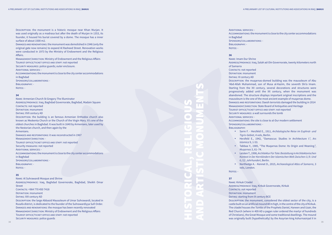Description: the monument is a historic mosque near Khan Murjan. It was used originally as a madrasa but after the death of Murjan in 1353, its founder, it housed his burial covered by a dome. The mosque has a inner surface of about 1500 m2.

MANAGEMENT/DIRECTION: Ministry of Endowment and the Religious Affairs Tourist office/ticket office and staff: not reported

Damages and renovations: the monument was demolished in 1946 (only the original gate now remains) to expand Al Rasheed Street. Renovation works were conducted in 1973 by the Ministry of Endowment and the Religious Affairs.

Security measures: police guards; outer enclosure.

Accommodations: the monument is close to the city center accommodations in Baghdad Sponsors/collaborations: - BIBLIOGRAPHY: -

NOTES: -

Additional services: -

Name: Al Suhrawardi Mosque and Shrine Address/province: Iraq, Baghdad Governorate, Baghdad, Sheikh Omar Street Contacts: +964 770 450 7418 DEFINITION: monument DATING: XIII century AD Description: the large Abbasid Mausoleum of Umar Suhrawardi, located in Rusafa district, is dedicated to the founder of the Suhrawardiyya Sufi Order. Damages and renovations: the mosque has been recently renovated MANAGEMENT/DIRECTION: Ministry of Endowment and the Religious Affairs TOURIST OFFICE/TICKET OFFICE AND STAFF: not reported SECURITY MEASURES: police guards

Accommodations: the monument is close to the city center accommodations in Baghdad

Sponsors/collaborations: -

Bibliography: -

NOTES: -

### **34**

Additional services: in Baghdad Sponsors/collaborations: - Bibliography: - NOTES: -

Name: Armenian Church St Gregory The Illuminator Address/province: Iraq, Baghdad Governorate, Baghdad, Madain Square CONTACTS: not reported Definition: monument DATING: XVII century AD DESCRIPTION: the building is an famous Armenian Orthodox church also known as Meskenta Church or the Church of the Virgin Mary. It's one of the oldest churches in Baghdad. It was built in 1640 by Armenians, later used by the Nestorian church, and then again by the Armenians. Damages and restorations: it was reconstructed in 1967

Management/direction: -

Tourist office/ticket office and staff: not reported

Security measures: not reported

Additional services: -

CONTACTS: not reported DEFINITION: monument DATING: XI century AD DESCRIPTION: the muqarnas-domed building was the mausoleum of Abu 'Abd-Allah Muhammad, son of Musa al-Kazim, the seventh Shi'a Imam. Starting from the XII century, several decorations and structures were progressively added until the XX century, when the monument was abandoned. The structure displays important original inscriptions and the mausoleum is the one of the most ancient example of muqarnas dome. Damages and restorations: Daesh terrorists damaged the building in 2014 Management/direction: State Board of Antiquities and Heritage Tourist office/ticket office and staff: not reported SECURITY MEASURES: a wall surrounds the tomb Additional services: - Accommodations: the site is close to al-Dur modern settlement Sponsors/collaborations: - Bibliography:

### **35**

Accommodations: the monument is close to the city center accommodations

ADDRESS/PROVINCE: Iraq, Salah ad-Din Governorate, twenty kilometers north

### **36**

Name: Imam Dur Shrine of Samarra

> • Sarre F. - Herzfeld E., 1911, *Archäologische Reise im Euphrat- und Tigris-Gebiet*, 4 vols, Berlin.

> • Herzfeld E., 1942, "Damascus: Studies in Architecture I.", *Ars*

• Tabbaa Y., 1985, "The Muqarnas Dome: Its Origin and Meaning.",

- 
- *Islamica* 9, 1-53.
- *Muqarnas* 3, 61–74.
- 
- vols, London.

NOTES: -

• Leisten T., 1998, *Architektur Für Tote: Bestattung in Architektonischen Kontext in Der Kernländern Der Islamischen Welt Zwischen 3./9. Und 6./12. Jahrhundert*, Berlin.

• Northedge A. - Kennet D., 2015, *Archaeological Atlas of Samarra*, 3

### **37**

Name: Kirkuk Citadel ADDRESS/PROVINCE: Iraq, Kirkuk Governorate, Kirkuk CONTACTS: not reported DEFINITION: monument DATING: starting from IX century BCE Description: the monument, considered the oldest sector of the city, is a castle built on an artificial mound 40 m high, in the centre of the city of Kirkuk. The citadel houses the Tombs of the Prophets Daniel, Haneen and Uzair, the Red Church (where in 409 AD a pagan ruler ordered the martyr of hundreds of Christians), the Great Mosque and some traditional dwellings. The mound was originally built (hypothetically) by the Assyrian king Ashurnasirpal II in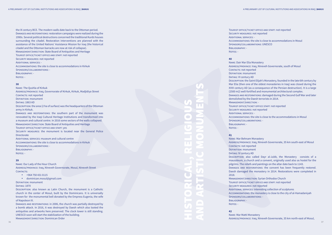the IX century BCE. The modern walls date back to the Ottoman period. Damages and restorations: restoration campaigns were realized during the 1990s. Several political destructions concerned the traditional Kurds houses surrounding the citadel. Restoration interventions are planned with the assistance of the United Nations' Assistance Mission for Iraq (the historical citadel and the Ottoman barracks are now at risk of collapse). Management/direction: State Board of Antiquities and Heritage Tourist office/ticket office and staff: not reported SECURITY MEASURES: not reported Additional services: - Accommodations: the site is close to accommodations in Kirkuk Sponsors/collaborations: - Bibliography: - NOTES: -

Address/province: Iraq, Governorate of Kirkuk, Kirkuk, Madjidiya Street CONTACTS: not reported

DAMAGES AND RESTORATIONS: the southern part of the monument was renovated by the Iraqi Cultural Heritage Institutions and transformed into a museum and cultural centre. In 2016 some sectors of the walls collapsed. Management/direction: State Board of Antiquities and Heritage

ADDITIONAL SERVICES: museum and cultural centre Accommodations: the site is close to accommodations in Kirkuk

Address/province: Iraq, Nineveh Governorate, Mosul, Nineveh Street CONTACTS:

### **38**

Name: The Qushla of Kirkuk

Definition: monument

DATING: 1863 AD

Description: the area (2 ha of surface) was the headquarters of the Ottoman army in Kirkuk.

SECURITY MEASURES: not reported Additional services: - Sponsors/collaborations: UNESCO BIBLIOGRAPHY: -Notes: -

Name: Dair Mar Elia Monastery CONTACTS: not reported DEFINITION: monument DATING: VI century AD Management/direction: - SECURITY MEASURES: not reported Additional services: - Sponsors/collaborations: - BIBLIOGRAPHY: -NOTES: -

Tourist office/ticket office and staff: yes

SECURITY MEASURES: the monument is located near the General Police **Directorate** 

Sponsors/collaborations: -

Bibliography: -

NOTES: -

### **39**

Name: Our Lady of the Hour Church

- • +964 750 431 0115
- • dominican.mosul@gmail.com

DEFINITION: monument

**DATING: 1870** 

Description: also known as Latin Church, the monument is a Catholic church in the center of Mosul, built by the Dominicans. It is universally known for the monumental bell donated by the Empress Eugenia, the wife of Napoleon III.

Damages and restorations: in 2006, the church was partially destroyed by a bomb attack. In 2016, it was destroyed by Daesh which also looted the antiquities and artworks here preserved. The clock tower is still standing. UNESCO soon will start the stabilization of the building. Management/direction: Dominican Order

### **40**

- Tourist office/ticket office and staff: not reported
	-
	-
- Accommodations: the site is close to accommodations in Mosul
	-
	-
- ADDRESS/PROVINCE: Iraq, Nineveh Governorate, south of Mosul
	-
	-
	-
- Description: the Saint Elijah's Monastery, founded in the late 6th century by Mar Elia (then one of the oldest monasteries in Iraq) was closed during the XVIII century AD (as a consequence of the Persian destruction). It is a large (2500 m2) well-fortified and monumental architectural complex.
- Damages and restorations: damaged during the Second Gulf War and later demolished by the Daesh terrorists in 2014.
	-
- Tourist office/ticket office staff: not reported
	-
	-
- Accommodations: the site is close to the accommodations in Mosul
	-
- Address/province: Iraq, Nineveh Governorate, 35 km south-east of Mosul
	-
	-
	-
- Description: also called Dayr al-Jubb, the Monastery consists of a mausoleum, a church and a convent, originally used also as hostel for the pilgrims. The reliefs and paintings on the altar date back to 1143.
- Damages and restorations: the convent has been frequently restored. Daesh damaged the monastery in 2014. Restorations were completed in
- Management/direction: Syrian Orthodox Church
- Tourist office/ticket office and staff: not reported
	-
- ADDITIONAL SERVICES: interesting collection of sculptures
- Accommodations: the monastery is close to the city of al-Hamadaniyah

### **41**

Name: Mar Behnam Monastery CONTACTS: not reported DEFINITION: monument DATING: IV century AD 2018.

SECURITY MEASURES: not reported Sponsors/collaborations: - Bibliography: - NOTES: -

### **42**

Name: Mar Matti Monastery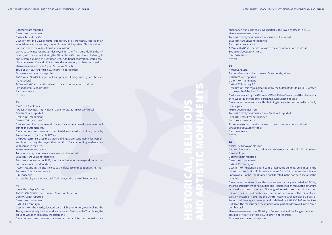CONTACTS: not reported

DEFINITION: monument

DATING: IV century AD

HISTORICAL, RELIGIOUS AND ARTISTIC MONUMENTS

Description: the Dayr al-Mattai (Monastery of St. Matthew), located in an astonishing natural setting, is one of the most important Christian sites in Iraq and one of the oldest Christian monasteries.

DAMAGES AND RESTORATIONS: destroyed for the first time during the 4<sup>th</sup> century AD, then rebuilt during the 5th century AD, it was looted by Mongols and restored during the Ottoman era. Additional renovation works took place between 1970 and 1973. In 2014 the monastery has been enlarged.

MANAGEMENT/DIRECTION: Syrian Orthodox Church

ADDITIONAL SERVICES: important and precious library (rare Syriac Christian manuscripts)

Address/province: Iraq, Nineveh Governorate, 50 km west of Mosul CONTACTS: not reported DEFINITION: monument

DATING: XVIII century AD

Tourist office/ticket office and staff: not reported

SECURITY MEASURES: not reported

ADDITIONAL SERVICES: in 2003, the citadel became the mayoral, municipal and police main headquarters

Accommodations: the site is close to the accommodations in Mosul

Sponsors/collaborations: -

Bibliography: -

NOTES: -

### **43**

Name: Tell Afar Citadel

Management/direction: - SECURITY MEASURES: not reported Additional services: - Sponsors/collaborations: - Bibliography: - NOTES: -

Description: the monumental citadel, located in a desert plain, was built during the Ottoman era.

Damages and restorations: the citadel was used as military base by American forces (Second Gulf War);

the Daesh terrorists used the citadel buildings as prisons mainly for women, and later partially destroyed them in 2014. Several looting evidence are widespread in the area.

Management/direction: -

Tourist office/ticket office and staff: not reported

SECURITY MEASURES: not reported

Accommodations: the site is close to the (few) accommodations in Tell Afar Sponsors/collaborations: -

> Damages and restorations: the mosque was partially renovated in 1942 by the Iraqi Department of Antiquities and Heritage which rebuilt the structure with old and new materials. The original remains are the minaret, two mihrabs, an inscribed marble slab, and some decorations. The minaret was partially restored in 1967 by the Centro Ricerche Archeologiche e Scavi di Torino and then again restored and stabilized by UNESCO before the First Gulf War. The mosque and the minaret were partially destroyed in 2017 by a bomb attack. MANAGEMENT/DIRECTION: Ministry of Endowment and the Religious Affairs

Bibliography: -

NOTES: the city is a multicultural (Turkmen, Arab and Yezidi) settlement

### **44**

Name: Bash Tapia Castle ADDRESS/PROVINCE: Iraq, Nineveh Governorate, Mosul CONTACTS: not reported DEFINITION: monument DATING: XII century AD Description: the castle, located on a high promontory overlooking the Tigris, was originally built as soldiers barracks. Destroyed by Timurlaine, the building was then rebuilt by the Ottomans. Damages and restorations: currently the architectural remains are

Tourist office/ticket office and staff: not reported SECURITY MEASURES: not reported

abandoned ruins. The castle was partially destroyed by Daesh in 2015. Tourist office/ticket office and staff: not reported

### **45**

- Accommodations: the site is close to the accommodations in Mosul
	-
- ADDRESS/PROVINCE: Iraq, Nineveh Governorate, Mosul
	-
	-
	-
- Description: this royal palace (built by the Sultan Badruddin Lulu), located
- Castle, was called by the Ottomans "Black Palace" because of the black color of its walls (due to the smoke from the surrounding houses).
- Damages and restorations: this building is neglected and actually partially
	-
- Tourist office/ticket office and Staff: not reported
	-
	-
- Accommodations: the site is close to the accommodations in Mosul
	-
	-
- Address/province: Iraq, Nineveh Governorate, Mosul, Al Shaziani-
	-
	-
	-

Name: Qara Serai CONTACTS: not reported DEFINITION: monument DATING: XIII century AD to the south of the Bash Tapia disintegrated Management/direction: - SECURITY MEASURES: not reported Additional services: - Sponsors/collaborations: - Bibliography: - Notes: -

### **46**

Name: The Umayyad Mosque NinevehStreet CONTACTS: not reported DEFINITION: monument DATING: XII century AD complex.

Description: known also as Al-Jami al-Kabir, the building, built in 1174 (the oldest mosque in Mosul), is mainly famous for its 52 m impressive minaret known as al-Hadba (the Humped one), located in the northern sector of the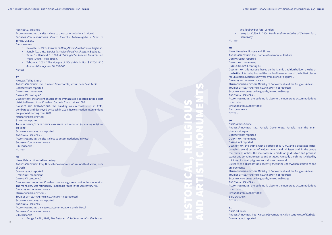Additional services: -

Accommodations: the site is close to the accommodations in Mosul Sponsors/collaborations: Centro Ricerche Archeologiche e Scavi di Torino, UNESCO

Bibliography:

Address/province: Iraq, Nineveh Governorate, Mosul, near Bash Tapia CONTACTS: not reported DEFINITION: monument DATING: VII century AD DESCRIPTION: the ancient church of the Immaculate is located in the oldest

- • Daywahji S., 1963, *Jawāmi' al-Mawṣil fī mukhtalif al-'uṣūr,* Baghdad.
- • Janabi T.J., 1982, *Studies in Medieval Iraqi Architecture*, Baghdad.
- • Sarre F. Herzfeld E., 1920, *Archäologische Reise im Euphrat- und Tigris-Gebiet,* 4 vols, Berlin.
- • Tabbaa Y., 2002, "The Mosque of Nūr al-Dīn in Mosul 1170-1172", *Annales Islamogiques* 36, 339-360.

NOTES: -

DAMAGES AND RESTORATIONS: the building was reconstructed in 1743; bombarded and destroyed by Daesh in 2014. Reconstruction interventions are planned starting from 2020.

Tourist office/ticket office and staff: not reported (operating religious building) SECURITY MEASURES: not reported

Accommodations: the site is close to accommodations in Mosul Sponsors/collaborations: - BIBLIOGRAPHY: -NOTES: -

### **47**

Name: Al-Tahira Church

district of Mosul. It is a Chaldean Catholic Church since 1600.

Piscataway NOTES: -

Name: Hussain's Mosque and Shrine ADDRESS/PROVINCE: Iraq, Karbala Governorate, Karbala CONTACTS: not reported DEFINITION: monument Dating: from VIII century AD Damages and restorations: - Tourist office/ticket office and staff: not reported Security measures: police guards, fenced walkways Additional services: in Karbala Sponsors/collaborations: - BIBLIOGRAPHY: -NOTES: -

Management/direction: -

STAFF: not reported

Additional services: -

**48**

Name: Rabban Hormizd Monastery Address/province: Iraq, Nineveh Governorate, 48 km north of Mosul, near al-Qosh CONTACTS: not reported DEFINITION: monument DATING: VII century AD Description: important Chaldean monastery, carved out in the mountains. The monastery was founded by Rabban Hormizd in the 7th century AD. Damages and restorations: - Management/direction: - Tourist office/ticket office and staff: not reported SECURITY MEASURES: not reported Additional services: - Accommodations: the nearest accommodations are in Mosul Sponsors/collaborations: - BIBLIOGRAPHY: • Budge E.A.W., 1902, *The histories of Rabban Hormizd the Persian* 

Tourist office/ticket office and staff: not reported SECURITY MEASURES: police guards, fenced walkways Additional services: in Karbala Sponsors/collaborations: - Bibliography: - NOTES: -

Name: Ukhaidir Address/province: Iraq, Karbala Governorate, 45 km southwest of Karbala CONTACTS: not reported

*and Rabban Bar-Idta*, London. • Leroy J. - Collin P., 2004, *Monks and Monasteries of the Near East,* 

### **49**

- 
- 
- 
- 
- Description: this mosque (based on the Islamic tradition built on the site of the battle of Karbala) housed the tomb of Hussain, one of the holiest places for Shia Islam (visited every year by millions of pilgrims).
	-
- MANAGEMENT/DIRECTION: Ministry of Endowment and the Religious Affairs
	-
	-
- Accommodations: the building is close to the numerous accommodations

ADDRESS/PROVINCE: Iraq, Karbala Governorate, Karbala, near the Imam

### **50**

Name: Abbas Shrine Hussein Mosque CONTACTS: not reported DEFINITION: monument DATING: not reported enlargements

- 
- 
- 
- Description: the shrine, with a surface of 4370 m2 and 9 decorated gates, contains several burials of sultans, emirs and ministers and, in the centre the tomb of Abbas: the mausoleum is made of gold, silver and precious stones and contains treasures and antiques. Annually the shrine is visited by millions of Islamic pilgrims from all over the world.
- Damages and restorations: recently the shrine underwent restorations and

MANAGEMENT/DIRECTION: Ministry of Endowment and the Religious Affairs

- 
- 
- 

Accommodations: the building is close to the numerous accommodations

### **51**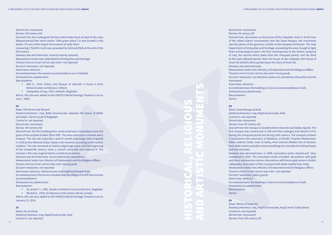Definition: monument

DATING: VIII century AD

Description: this rectangular fortress which dates back at least to the early Abbasid period (the name means "little green place") is now located in the desert. It's one of the largest monuments of early Islam measuring 175x169 m and was excavated by Gertrude Bell at the end of the XIX century.

NOTES: this site was added to the UNESCO World Heritage Tentative List on July 7, 2000.

Damages and restorations: recently heavily restored. Management/direction: State Board of Antiquities and Heritage Tourist office/ticket office and staff: not reported

SECURITY MEASURES: not reported

Additional services: -

Accommodations: the nearest accommodations are in Karbala Sponsors/collaborations: -

Bibliography:

- • Bell G., 1914, *Palace and Mosque at Ukhaidir: A Study in Early Mohammadan Architecture*, Oxford.
- • Antiquities of Iraq, 1937, *Ukhaidir*, Baghdad.

MANAGEMENT/DIRECTION: Ministry of Endowment and the Religious Affairs Tourist office/ticket office and staff: local guards

SECURITY MEASURES: not reported

ADDITIONAL SERVICES: old tea houses and traditional bread shops

### **52**

Name: Kifl Shrine and Minaret

ADDRESS/PROVINCE: Iraq, Babil Governorate, between the towns of Hillah

and Najaf, 130 km south of Baghdad

CONTACTS: not reported DEFINITION: monument

DATING: XIV century AD

NOTES: this site was added to the UNESCO World Heritage Tentative List on January 21, 2010.

Name: Dar al-Imara Address/province: Iraq, Najaf Governorate, Kufa CONTACTS: not reported

Description: the first building here constructed was a mausoleum over the grave of the prophet Ezekiel (Dhul-Kifl). The area comprises a minaret and a mosque. The site was originally a seat of Jewish pilgrimage, then acquired in 1316 by the Ilkhanid Sultan Uljaitu and renamed according to the Islamic tradition. The site remained an Islamic pilgrimage place until the beginning of the nineteenth century when a Jewish converted and restored it. The minaret is the only original Islamic architectural remain.

DESCRIPTION: also known as the house of the Caliphate, built in 16 AH (one of the oldest Islamic monuments) near the Great Mosque, the monument was the palace of the governor, similar to the Sasanian fortresses. The Iraqi Department of Antiquities and Heritage, excavating the area, brough to light three archaeological layers: the first contemporary to the Islamic conquest of Iraq, the second which dates from the Umayyad period, and the third to the early Abbasid period. Near the house of the Caliphate, the House of Imam Ali exhibits items pertaining to the story of Imam Ali.

MANAGEMENT/DIRECTION: Ministry of Endowment and the Religious Affairs Tourist office/ticket office and staff: local guards

Additional services: - Sponsors/collaborations: - Bibliography: - NOTES: -

Name: Great Mosque at Kufa CONTACTS: not reported DEFINITION: monument DATING: from VII century AD and four minarets. SECURITY MEASURES: police guards Additional services: - Sponsors/collaborations: - BIBLIOGRAPHY: -NOTES: -

Damages and restorations: recent extensively restorations.

Accommodations: the shrine is located near the village of al-Kifl (few tourism accommodations)

Sponsors/collaborations: -

Bibliography:

DAMAGES AND RESTORATIONS: in 1998, renovation works started and then completed in 2010. The renovation works included: decorations with gold and silver and precious stones; decorations with Koran gold verses in Arabic calligraphy; decoration of the courtyard with white marble from India.

MANAGEMENT/DIRECTION: Ministry of Endowment and the Religious Affairs

- • Al-Janab T.J., 1982, *Studies in Medieval Iraqi Architecture*, Baghdad.
- • Michell G., 1978, *Architecture of the Islamic World*, London.

Name: Shrine of Imam Ali Address/province: Iraq, Najaf Governorate, Najaf, Imam Sadiq Street CONTACTS: not reported DEFINITION: monument DATING: from VIII century AD

### **53**

Definition: monument DATING: VII century AD Damages and restorations: monument

Security measures: non-Muslims visitors are sometimes allowed to visit the

Accommodations: the building is close to accommodations in Kufa

ADDRESS/PROVINCE: Iraq, Najaf Governorate, Kufa

### **54**

Description: the mosque is located where Imam Ali was fatally injured. The first mosque was constructed in 638 and then enlarged and rebuilt in 670, during the Umayyad period and during 14th century. The mosque contains 9 sanctuaries (the sanctuary of Abraham, al Khudir, Prophet Mohammed, Adam, Gabriel, Noah, Iman al Sadiq, Iman Zainual Abideen bin al Hussein, Amir al Mu'minin) and other Islamic buildings (for example the Safinat Noah)

Tourist office/ticket office and staff: not reported

Accommodations: the building is close to accommodations in Kufa

### **55**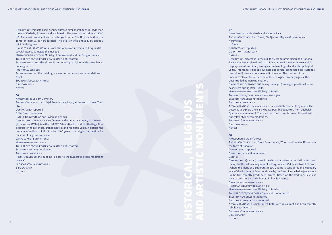Description: this astonishing shrine shows a similar architectural style than those of Karbala, Samarra and Kadhimain. The area of the shrine is 13240 m2. The most prominent sector is the gold dome. The Honorable Grave or Tomb of Imam Ali is here located. The site is visited annually by about 8 million of pilgrims.

MANAGEMENT/DIRECTION: Ministry of Endowment and the Religious Affairs Tourist office/ticket office and staff: not reported

SECURITY MEASURES: the shrine is bordered by a 12,5 m wide outer fence; police guards

Damages and restorations: since the American invasion of Iraq in 2003, several attacks damaged the mosque.

Additional services: -

Accommodations: the building is close to numerous accommodations in Najaf

Sponsors/collaborations: -

Bibliography: -

NOTES: -

### **56**

Description: created in July 2013, the Mesopotamia Marshland National Park is the first Iraqi national park. It is a large wild wetlands area which displays an extraordinary ecological, archaeological and anthropological value. Traditional tribes still live here and several archaeological (currently unexplored) sites are documented in the area. The creation of the park aims also at the protection of the ecological diversity against the uncontrolled human exploitation. Damages and Restorations: heavy damages (drainage operations) to the ecosystem during 1970-1980s. Management/direction: Ministry of Tourism Tourist office/ticket office and staff: yes SECURITY MEASURES: not reported Additional services: - Accommodations: the marshes are only partially reachable by roads. The best way to explore them is by boats (possible departure from Chebaish, Querna and al-Amarah). There are two tourists centers near the park with bungalow style accommodations. Sponsors/collaborations: - BIBLIOGRAPHY: -NOTES: -

Name: Wadi al-Salaam Cemetery Address/province: Iraq, Najaf Governorate, Najaf, at the end of the Al-Tossi Street CONTACTS: not reported DEFINITION: monument DATING: from Parthian and Sasanian periods Description: the Peace Valley Cemetery, the largest cemetery in the world (it measures 917 ha), is in the UNESCO'S tentative list of World Heritage Sites because of its historical, archaeological and religious value. It houses the remains of millions of Muslims for 1400 years. It a religious attraction for millions of pilgrims every year. Damages and restorations: - Management/direction: - Tourist office/ticket office and staff: not reported SECURITY MEASURES: local guards Additional services: - Accommodations: the building is close to the numerous accommodations in Najaf

Name: Querna (Adam's tree) Address/province: Iraq, Basra Governorate, 75 km northwest of Basra, near the town of Nahairat CONTACTS: not reported DEFINITION: site and monument DATING: -

mainly for the astonishing natural setting, located 75 km northwest of Basra l where the Tigris and Euphrates meet. Querna is considered the legendary seat of the Gardens of Eden, as shown by the Tree of Knowledge (an ancient jujube tree recently dead) here located. Based on the tradition, Seleucus Nicator built here a city in honor of his wife Apamea. Damages and restorations: - Restorations/previous activities: - Management/direction: Ministry of Tourism TOURIST OFFICE/TICKET OFFICE AND Staff: not reported SECURITY MEASURES: not reported ADDITIONAL SERVICES: not reported Accommodations: a small tourist hotel with restaurant has been recently rebuilt near Querna. Sponsors/collaborations: - Bibliography: - NOTES: -

Sponsors/collaborations: -

BIBLIOGRAPHY: -

NOTES: -

### **57**

Name: Mesopotamia Marshland National Park Address/province: Iraq, Basra, Dhi Qar and Maysan Governorates, northwest of Basra

CONTACTS: not reported Definition: natural park DATING: -

### **58**

Description: Querna (corner in Arabic) is a potential touristic attraction,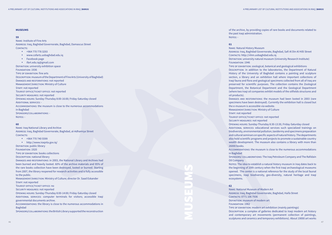MUSEUMS

Name: Institute of Fine Arts Address: Iraq, Baghdad Governorate, Baghdad, Damascus Street CONTACTS:

### **MUSEUMS**

### **59**

- $\cdot$  +964 770 778 3293
- • www.cofarts.uobaghdad.edu.iq
- • Facebook page
- • ifart.edu.iq@gmail.com

DEFINITION: university exhibition space

FOUNDATION: 1936

TYPE OF EXHIBITION: fine arts

- Sponsors/collaborations: -
- NOTES: -

Name: Iraq National Library and Archive Address: Iraq, Baghdad Governorate, Baghdad, al-Adhamiya Street CONTACTS:

- • +964 770 740 5599
- http://www.iragnla.gov.ig/

Description: museum of the Department of Fine Arts (University of Baghdad) Damages and restorations: not reported

- MANAGEMENT/DIRECTION: Ministry of Culture
- STAFF: not reported
- Tourist office/ticket office: not reported
- SECURITY MEASURES: not reported

Opening hours: Sunday-Thursday 8:00-16:00; Friday-Saturday closed Additional services: -

Accommodations: the museum is close to the numerous accommodations in Baghdad

ADDITIONAL SERVICES: computer terminals for visitors; accessible Iraqi governmental documents archive.

### **60**

of the archive, by providing copies of rare books and documents related to the past Iraqi administration. NOTES: -

- 
- Address: Iraq, Baghdad Governorate, Baghdad, Safi Al Din Al Hilli Street
- DEFINITION: university natural museum (University Research Institute)

TYPE OF EXHIBITION: zoological, botanical and geological exhibitions

Definition: public library

FOUNDATION: 1920

TYPE OF EXHIBITION: books collections

DESCRIPTION: national library

Damages and restorations: in 2003, the National Library and Archives had been burned and heavily looted. 60% of the archive materials and 95% of the rare books collection have been destroyed, looted or burned. Starting from 2007, the library reopened for research activities and is fully accessible to the public.

MANAGEMENT/DIRECTION: Ministry of Culture; director Dr. Saad Eskander STAFF: not reported

DESCRIPTION: in addition to the laboratories, the Department of Natural History of the University of Baghdad contains a painting and sculpture section, a library and an exhibition hall where important collections of Iraqi fauna and flora and geological specimens collected from all of Iraq are preserved for scientific purposes. The collection contains the Zoological Department, the Botanical Department and the Geological Department (where two Iraqi oil companies exhibit models of the oilfields structures and

Tourist office/ticket office: no

SECURITY MEASURES: not reported

- MANAGEMENT/DIRECTION: Ministry of Culture
	-
- TOURIST OFFICE/TICKET OFFICE: not reported
	-
- Opening hours: Sunday-Thursday 8:30-13:30, Friday-Saturday closed

Opening hours: Sunday-Thursday 8:00-14:00; Friday-Saturday closed

ADDITIONAL SERVICES: educational services such specialized trainings on biodiversity, environmental pollution, taxidermy and specimens preparation and cultural seminars on specific aspects of natural history. The departments also hold scientific programs and projects to promote a sustainable country wealth development. The museum also contains a library with more than

Accommodations: the library is close to the numerous accommodations in Baghdad

Sponsors/collaborations: the British Library supported the reconstruction

NOTES: The idea to establish a natural history museum in Iraq dates back to the beginning of 20th century when the first Iraqi archaeological museums opened. The center is a national reference for the study of the local faunal specimens, Iraqi biodiversity, geo-diversity, natural heritage and Iraqi

STAFF: not reported SECURITY MEASURES: not reported 26000 books. in Baghdad Oil Company ecosystems.

Name: National Museum of Modern Art ADDRESS: Iraq, Baghdad Governorate, Baghdad, Haifa Street

### **61**

Contacts: 0771 106 7936 Definition: museum of modern art FOUNDATION: 1962

Name: Natural History Museum Contacts: http://nhm.uobaghdad.edu.iq FOUNDATION: 1946 oil products).

Damages and restorations: the museum had been looted in 2003 (rare specimens have been destroyed). Currently the exhibition hall is closed but the e-museum is accessible via website.

Accommodations: the museum is close to the numerous accommodations

Sponsors/ collaborations: The Iraq Petroleum Company and The Rafidain

# **62**

Type of exhibition: modern art exhibition (mainly paintings) Description: a complex of galleries dedicated to Iraqi modern art history and contemporary art movements (permanent collection of paintings, sculptures and ceramics and temporary exhibitions). About 19000 art works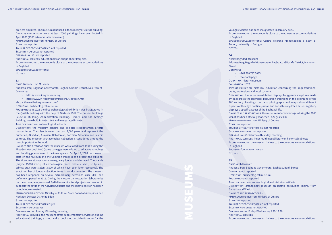MUSEUMS

are here exhibited. The museum is housed in the Ministry of Culture building. Damages and restorations: at least 7000 paintings have been looted in April 2003 (2300 artworks later recovered). MANAGEMENT/DIRECTION: Ministry of Culture STAFF: not reported Tourist office/ticket office: not reported SECURITY MEASURES: not reported Opening hours: not reported ADDITIONAL SERVICES: educational workshops about Iraqi arts. Accommodations: the museum is close to the numerous accommodations in Baghdad Sponsors/collaborations: - NOTES: -

Address: Iraq, Baghdad Governorate, Baghdad, Karkh District, Nasir Street CONTACTS:

- http:// www.iraqmuseum.org
- • http://www.virtualmuseumiraq.cnr.it/noflash.htm

### **63**

Name: National Iraq Museum

DESCRIPTION: the museum collects and exhibits Mesopotamian artistic masterpieces. The objects cover the past 7,000 years and represent the Sumerian, Akkadian, Assyrian, Babylonian, Parthian, Sasanian and Islamic cultures. The museum archaeological collection is considered among the most important in the world.

• https://www.theiraqmuseum.com/

Definition: archaeological museum

Foundation: in 1926 the first archaeological exhibition was inaugurated in the Quslah building with the help of Gertrude Bell. The present buildings (Museum Building, Administration Building, Library, and Old Storage Building) were built in 1964-1966 and inaugurated in 1966.

TYPE OF EXHIBITION: archaeological artifacts

MANAGEMENT/DIRECTION: Ministry of Culture, State Board of Antiquities and Heritage ; Director Dr. Amira Edan

STAFF: not reported

ADDITIONAL SERVICES: the museum offers supplementary services including educational trainings, a shop and a bookshop. A didactic room for the

in Baghdad Torino, University of Bologna NOTES: -

Name: Baghdadi Museum **Street** CONTACTS:

• +964 780 787 7085 • Facebook page DEFINITION: history museum FOUNDATION: 1970 TYPE OF EXHIBITION: historical exhibition concerning the Iraqi traditional crafts, professions and local customs. Description: the museum exhibition displays by gypsum sculptures made by Iraqi artists the Baghdadi population traditions at the beginning of the 20<sup>th</sup> century. Paintings, portraits, photographs and maps show different aspects of the city's political, urban and social history. Each museum gallery displays a specific aspect of the Baghdadi life. Damages and restorations: the museum suffered damages during the 2003 war. It has been officially reopened in August 2008. MANAGEMENT/DIRECTION: Ministry of Culture STAFF: not reported Tourist office/ticket office: not reported SECURITY MEASURES: not reported Opening hours: Saturday-Thursday, morning ADDITIONAL SERVICES: inner multilingual library on historical subjects Accommodations: the museum is close to the numerous accommodations in Baghdad Sponsors/collaborations: - NOTES: -

Damages and restorations: the museum was closed from 1991 during the First Gulf War until 2000 (some damages were related to adjacent bombings and flooding phenomena of the inner spaces). On April 8, 2003 the museum staff left the Museum and the Coalition troops didn't protect the building. The Museum's storage rooms were gravely looted and damaged. Thousands (maybe 15000 items) of archaeological finds (vessels, seals, sculptures, tablets etc.) were stolen (3,000 of which have been later recovered). The exact number of looted collection items is not documented. The museum has been reopened on several extraordinary occasions since 2003 and definitely opened in 2015. During the closure the restoration laboratories had been completely restored. By Italian architectural projects and economic supports the setup of the Assyrian Galleries and the Islamic section has been completely renovated.

Tourist office/ticket office: yes

SECURITY MEASURES: **yes** 

Opening hours: Sunday -Thursday, morning

youngest visitors has been inaugurated in January 2020. Accommodations: the museum is close to the numerous accommodations

Sponsors/collaborations: Centro Ricerche Archeologiche e Scavi di

### **64**

Address: Iraq, Baghdad Governorate, Baghdad, al Rusafa District, Mamoum

### **65**

Name: Arab Museum Address: Iraq, Baghdad Governorate, Baghdad, Bank Street CONTACTS: not reported DEFINITION: archaeological museum FOUNDATION: not reported TYPE OF EXHIBITION: archaeological and historical artifacts Description: archaeology museum on Islamic antiquities (mainly from Samarra and Wasit) Damages and restorations: - Management/direction: Ministry of Culture STAFF: not reported Tourist office/ticket office: not reported SECURITY MEASURES: not reported Opening hours: Friday-Wednesday 9:30-13:30 Additional services: - Accommodations: the museum is close to the numerous accommodations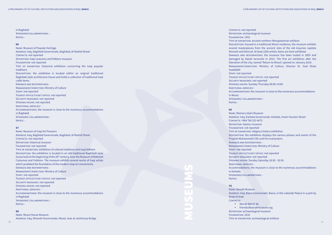MUSEUMS

- 
- 
- 

Name: Museum of Popular Heritage Address: Iraq, Baghdad Governorate, Baghdad, Al-Rashid Street CONTACTS: not reported DEFINITION: Iraqi costumes and folklore museum FOUNDATION: not reported TYPE OF EXHIBITION: historical exhibition concerning the Iraqi popular traditions DESCRIPTION: the exhibition is located within an original traditional Baghdadi style architecture house and holds a collection of traditional Iraqi crafts items. Damages and restorations: - MANAGEMENT/DIRECTION: Ministry of Culture STAFF: not reported TOURIST OFFICE/TICKET OFFICE: not reported SECURITY MEASURES: not reported Opening hours: not reported Additional services:- Accommodations: the museum is close to the numerous accommodations in Baghdad Sponsors/ collaborations: - NOTES: -

### **66**

house built at the beginning of the 20<sup>th</sup> century, near the Museum of National Costumes and Folklore. The museum exhibits several works of Iraqi artists which predated the foundation of the modern Iraqi art movements. Damages and restorations: - MANAGEMENT/DIRECTION: Ministry of Culture STAFF: not reported Tourist office/ticket office: not reported SECURITY MEASURES: not reported Opening hours: not reported Additional services: - Accommodations: the museum is close to the numerous accommodations

in Baghdad Sponsors/ collaborations:: - NOTES: -

### **67**

Name: Museum of Iraqi Art Pioneers Address: Iraq, Baghdad Governorate, Baghdad, Al-Rashid Street CONTACTS: not reported Definition: historical museum FOUNDATION: not reported TYPE OF EXHIBITION: exhibition of cultural traditions and Iraqi folklore Description: the exhibition is located in an old traditional Baghdadi-style CONTACTS: not reported Definition: archaeological museum FOUNDATION: 1952 Type of exhibition: ancient northern Mesopotamian artifacts Description: housed in a traditional Mosul residence, the museum exhibits several masterpieces from the ancient sites of the old Assyrian capitals Nineveh and Nimrud. At least 2200 artistic items are here exhibited. Damages and restorations: the museum has been looted in 2003 and damaged by Daesh terrorists in 2014. The first art exhibition after the liberation of the city, named 'Return to Mosul', opened on January 2019. Management/direction: Ministry of Culture, Director Dr. Zaid Ghazi Saadallah

STAFF: not reported Tourist office/ticket office: not reported SECURITY MEASURES: not reported Opening hours: Sunday-Thursday 08:00-14:00 Additional services: - Accommodations: the museum is close to the numerous accommodations in Mosul

Sponsors/ collaborations:: - NOTES: -

Name: Basrah Museum Shatt Al Arab CONTACTS:

### **68**

Name: Mosul House Museum Address: Iraq, Nineveh Governorate, Mosul, near al-Jamhuriya Bridge

### **69**

- Name: Memory Islam Museum
- Address: Iraq, Karbala Governorate, Karbala, Imam Hussein Street
- Contacts: +964 780 323 4675
- Definition: Islamic museum
- FOUNDATION: not reported
- Type of exhibition: religious history exhibition
- Description: the exhibition displays the various phases and events of the
- Prophet Muhammad's life until his martyrdom.
- Damages and restorations: -
- MANAGEMENT/DIRECTION: Ministry of Culture
	-
- Tourist office/ticket office: not reported
- SECURITY MEASURES: not reported
- Opening hours: Sunday-Saturday 16:30 20:30
	-
- Accommodations: the museum is close to the numerous accommodations

Sponsors/collaborations: -

ADDRESS: Iraq, Basra Governorate, Basra, in the Lakeside Palace in a park by

• 964.40 884 67 46 • friendsofbasrahmuseum.org Definition: archaeological museum FOUNDATION: 2016 Type of exhibition: archaeological artifacts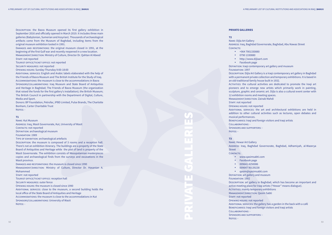PRIVATE GALLERIES

Management/direction: Ministry of Culture, Director Dr. Qahtan Al Abeed STAFF: not reported

Description: the Basra Museum opened its first gallery exhibition in September 2016 and officially opened in March 2019. It includes three main galleries (Babylonian, Sumerian and Assyrian). Thousands of archaeological artifacts come from the Museum of Baghdad, including items from the original museum exhibition looted in 1991.

Damages and restorations: the original museum closed in 1991, at the beginning of the first Gulf war and recently reopened in a new location.

ADDITIONAL SERVICES: English and Arabic labels elaborated with the help of the Friends of Basra Museum and The British Institute for the Study of Iraq. Accommodations: the museum is close to the accommodations in Basra Sponsors/collaborations: Iraq Museum and State Board of Antiquities and Heritage in Baghdad; The Friends of Basra Museum (the organization that raised the funds for the first gallery's installation); the British Museum; The British Council in partnership with the Department of Digital, Culture, Media and Sport.

Donors: BP Foundation, Petrofac, IPBD Limited, Pulse Brands, The Charlotte Bonham, Carter Charitable Trust NOTES: -

Tourist office/ticket office: not reported

SECURITY MEASURES: not reported

Opening hours: Sunday-Thursday 9:00-18:00

MANAGEMENT/DIRECTION: Ministry of Culture, Director Dr. Hasanian A. Mohammed

STAFF: not reported

Name: Dijla Art Gallery CONTACTS:

- $•$  +964 7901330880
- • 0790 1330880
- 
- 
- 
- • http://www.dijlaart.com
	-
- DEFINITION: Iraqi contemporary art gallery and museum

### **71**

Name: Kut Museum

ADDRESS: Iraq, Wasit Governorate, Kut, University of Wasit CONTACTS: not reported Definition: archaeological museum FOUNDATION: 1989

TYPE OF EXHIBITION: archaeological artefacts

ACTIVITIES: the cultural activities are dedicated to promote the Iraqi art pioneers and to emerge new artists which primarily work in painting, sculpture, graphic and ceramic art. Dijla is also a cultural event center with 12 exhibition rooms and meeting spaces.

ADDITIONAL SERVICES: the art and architectural exhibitions are held in addition to other cultural activities such as lectures, open debates and

BENEFICIARIES: Iraqi and foreign visitors and Iraqi artists

• Facebook page FOUNDATION: 1997 STAFF: not reported Opening hours: not reported musical performances. Collaborations: - Sponsors and supporters: -

NOTES: -

Name: Hewar Art Gallery **Street** CONTACTS:

Description: the museum is composed of 3 rooms and a reception hall. There's not an exhibition itinerary. The buildings are a property of the State Board of Antiquities and Heritage while the plot of land is property of the Wasit Governorate. The exhibition consists of Mesopotamian masterpieces copies and archaeological finds from the surveys and excavations in the Wasit province.

> • qasim@qasimsabti.com DEFINITION: art gallery and museum FOUNDATION: 1992 Description: art gallery in Baghdad, which has become an important and active meeting place for Iraqi artists ("Hewar" means dialogue). ACTIVITIES: mainly temporary exhibitions Management/direction: Qasim Sabti STAFF: not reported Opening hours: not reported ADDITIONAL SERVICES: the gallery has a garden in the back with a café Beneficiaries: Iraqi and foreign visitors and Iraqi artists Collaborations: - Sponsors and supporters: - NOTES: -

Damages and restorations: the museum is closed since 1990

Tourist office/ticket office: reception hall

SECURITY MEASURES: Outer fence

Opening hours: the museum is closed since 1990

ADDITIONAL SERVICES: close to the museum, a second building holds the

local office of the State Board of Antiquities and Heritage

Accommodations: the museum is close to the accommodations in Kut

Sponsors/collaborations: University of Wasit

NOTES: -

### **PRIVATE GALLERIES**

### **72**

Address: Iraq, Baghdad Governorate, Baghdad, Abu Nawas Street

Description: Dijla Art Gallery is a Iraqi contemporary art gallery in Baghdad with a permanent private collection and temporary exhibitions. It is based in an old traditional family house built in 1932.

- Management/direction: Zainab Mahdi
	-
	-

### **73**

Address: Iraq, Baghdad Governorate, Baghdad, Adhamiyah, al-Wazerya

• www.qasimsabti.com

- • Facebook page
- • 009641 4250086
- 
- • 009647 90139238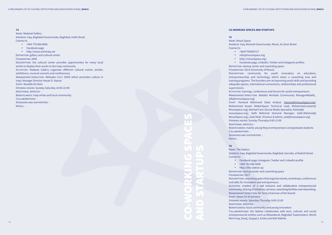CO-WORKING SPACES AND STARTUPS

Name: Madarat Gallery ADDRESS: Iraq, Baghdad Governorate, Baghdad, Haifa Street CONTACTS:

- • +964 770 966 8666
- • Facebook page
- http://www.artiniraq.net

DEFINITION: gallery and cultural center FOUNDATION: 2006 Description: the cultural center provides opportunities for many local artists to display their works to the Iraqi community. ACTIVITIES: Madarat Gallery organizes different cultural events (artistic exhibitions, musical concerts and conferences). MANAGEMENT/DIRECTION: Attitudes S.A.C (NGO which promotes culture in Iraq); Manager Director Hasan D. Nassar Staff: Mustafa Gh Nimr Opening hours: Sunday-Saturday 10:00-22:00 Additional services: - BENEFICIARIES: Iraqi artists and local community

# **74**

Name: Mosul Space CONTACTS:

> alfa@mosulspace.org) Opening hours: Sunday-Thursday 9:00-21:00 Additional services: - Collaborations: - Sponsors and supporters: - NOTES: -

Collaborations: -

Sponsors and supporters: -

NOTES: -

# **CO-WORKING SPACES AND STARTUPS**

ADDRESS: Iraq, Nineveh Governorate, Mosul, Az Zerai Street

- 
- info@mosulspace.org
- http://mosulspace.org/
- • Facebook page, LinkedIn, Twitter and Instagram profiles
- Definition: startup center and coworking space
- Foundation: 2014 (University of Mosul)
- DESCRIPTION: community for youth innovators on education, entrepreneurship and technology which share a coworking area and training programs. The founders aim at improving youth skills and providing adequate spaces, international connections, relationships and professional
- ACTIVITIES: trainings, conferences and forums for youth entrepreneurs.
- MANAGEMENT/DIRECTION: Abdalla Mortada (Community ManagerAbdalla\_
- STAFF: Hameed Mahmood (Data Analyst, Hameed@mosulspace.org); Mohammed Azzam (MakerSpace Technical Lead, Mohammed.azzam@ Mosulspace.org); Rashad Faris (Social Media Specialist, Rashad@
- mosulspace.org); Salih Mahmod (General Manager; Salih.Mahmod@ MosulSpace.org); Zaid Helal (Finance & Admin, zaid@mosulspace.org)
	-
- BENEFICIARIES: mainly young Mosul entrepreneurs and graduate students

### **75**

- • +9647709995727
- 
- 

Name: The Station CONTACTS:

FOUNDATION: 2017 STAFF: about 10-50 persons Additional services: -

supervisions.

- Facebook page; Instagram, Twitter and LinkedIn profile
	-
- http://the-station.iq/
- DEFINITION: startup center and coworking space
- Description: coworking space that organize events, workshops, conferences and talks for innovators and entrepreneurs.
- ACTIVITIES: creation of a real inclusive and collaborative entrepreneurial community; sharing of initiatives, services, coworking facilities and networking. MANAGEMENT/DIRECTION: Ali Tariq (chairman of the board)
- Opening hours: Saturday-Thursday 9:00-22:00
	-
- Beneficiaries: local community and young innovators
- Collaborations: the Station collaborates with tech, cultural, and social entrepreneurial entities such as Bilweekend, Baghdad Toastmasters, World Merit Iraq, Daraj, Zuqaq13, Ariika and Ikfal Nakhla.

### **76**

Address: Iraq, Baghdad Governorate, Baghdad, Karrada, al Rashid Street

- 
- • +964 781 666 9999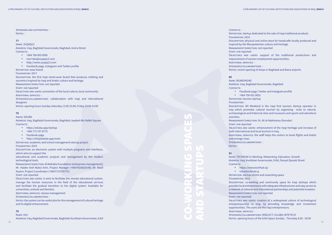CO-WORKING SPACES AND STARTUPS

### CONTACTS: -

### **77**

Name: ZUQAQ13

ADDRESS: Iraq, Baghdad Governorate, Baghdad, Amira Street CONTACTS:

- • +964 780 005 0999
- • mar7aba@zuqaq13.com
- http://www.zuqaq13.com
- • Facebook page, Instagram and Twitter profile

DEFINITION: wear brand

FOUNDATION: 2017

Address: Iraq, Baghdad Governorate, Baghdad, Aqabah Bin Nafeh Square CONTACTS:

- https://eduba.app/startup
- • +964 772 767 8775
- • Facebook page
- http://info@eduba.app/main

Description: the first Iraqi street-wear brand that produces clothing and souvenirs inspired by Iraqi and Arabic culture and heritage.

MANAGEMENT/DIRECTION: not reported

STAFF: not reported

Definition: academic and school management startup project FOUNDATION: 2019

DESCRIPTION: an electronic system with multiple programs and interfaces, which aims to support the

Objectives and users: promotion of the local culture; local community Additional services: -

MANAGEMENT/DIRECTION: Al Mahatta Foundation (enterprises management); Mr. Haider Aref Abdul Amir, Project Manager (+9647819020149); Mr. Raed Kazem, Project Coordinator (+9647727678775)

STAFF: not reported

Sponsors/collaborations: collaboration with Iraqi and international designers

NOTES: opening hours Sunday-Saturday 11:00-23:00, Friday 15:00-23:00

### **78**

Name: EDUBA

NOTES: the system can be useful also for the management of cultural heritage and its digital enhancement.

- Description: physical and online store for handcrafts locally produced and inspired by the Mesopotamian culture and heritage
- Management/direction: not reported
	-
- Objectives and users: support of the traditional productions and improvement of women employment opportunities.
	-
	-
- NOTES: recent opening of shops in Baghdad and Basra airports

# ADDRESS: Iraq, Baghdad Governorate, Baghdad

FOUNDATION: 2016 STAFF: not reported Additional services: - Sponsors/collaborations: -

Name: BILWEEKEND CONTACTS:

educational and academic projects and management by the modern technological tools.

• +964 790 431 0853 **DEFINITION: tourism startup** FOUNDATION: -

DESCRIPTION: Bil Weekend is the Iraqi first tourism startup operator in Iraq which promotes cultural tourism by organizing visits to natural, archaeological and historical sites and museums and sports and adventure activities.

STAFF: not reported both international and local tourism in Iraq. and arrange visas. Sponsors/collaborations: - NOTES: -

Name: TECHHUB Co-Working. Networking. Education. Growth Address: Iraq, Kurdistan Governorate, Erbil, Danyal Qassab Street CONTACTS:

DEFINITION: startup centre and coworking space FOUNDATION: 2016 DESCRIPTION: co-working and community space for Iraqi startups which provides local entrepreneurs with adequate infrastructures and easy access to a network of national and international partnerships and potential investors. Management/direction: not reported STAFF: not reported Objectives and users: creation of a widespread culture of technological entrepreneurship in Iraq, by providing knowledge and investment opportunities. The users are the Iraqi entrepreneurs. Additional services: - Sponsors/collaborations: MSELECT; 51LABS; BITETECH NOTES: opening hours of the Erbil Space Sunday - Thursday 8:00 - 20:00

Objectives and users: it aims to facilitate the remote educational system, manage the human resources in the field of the educational services and facilitate the gradual transition to the digital system. Available for universities, schools and families.

ADDITIONAL SERVICES: classes management

Sponsors/collaborations: -

### **79**

Name: HILI

Address: Iraq, Baghdad Governorate, Baghdad; Kurdistan Governorate, Erbil

### Definition: startup dedicated to the sale of Iraqi traditional products

### **80**

• Facebook page; Twitter and Instagram profile

Management/direction: Dr. Ali al-Makhzomy (founder)

Objectives and users: enhancement of the Iraqi heritage and increase of

ADDITIONAL SERVICES: the staff helps the visitors to book flights and hotels

### **81**

• https://www.techhub.iq/

• info@techhub.iq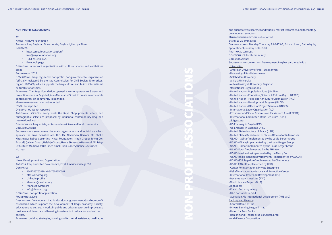Address: Iraq, Baghdad Governorate, Baghdad, Hurriya Street CONTACTS:

### **NON-PROFIT ASSOCIATIONS**

### **82**

Name: The Ruya Foundation

DEFINITION: non-profit organization with cultural spaces and exhibitions areas

### FOUNDATION: 2012

- • https://ruyafoundation.org/en/
- • info@ruyafoundation.org
- • +964 781 230 6547
- • Facebook page

ACTIVITIES: The Ruya Foundation opened a contemporary art library and projection space in Baghdad, in al-Mutanabbi Street to create an accessible contemporary art community in Baghdad.

ADDITIONAL SERVICES: every week the Ruya Shop presents videos and photographic selections proposed by influential contemporary Iraqi and international artists.

Description: Iraqi registered non-profit, non-governmental organization (officially registered by the Iraq Commission for Civil Society Enterprises, reg no. 1B75468) which supports the Iraqi culture, and builds international cultural relationships.

Sponsors and supporters: the main organizations and individuals which sponsor the Ruya activities are: H.E. Mr. Nechirvan Barzani*;* Mr. Khalid Khoshnaw*;* Rabee-Securities*;* Hiwa Foundation; Miran-Group*;* Rhein-Co.; Asiacell*;* Qaiwan Group*;* Halabja-Group*;* Hewa*;* Stevenson Harwood*;* Ministry-Of-Culture*;* Mediawan*;* Dla Piper*;* Smak; Ikon-Gallery*;* Rabee-Securities NOTES: -

- • 9647706700890, +9647504650107
- http://deviraq.org/
- LinkedIn profile
- • Khassan@deviraq.org
- • Ntaha@deviraq.org
- Info@deviraq.org

DEFINITION: non-profit organization

FOUNDATION: 2003

Management/direction: not reported

### STAFF: not reported

Opening hours: not reported

Beneficiaries: Iraqi artists, writers and musicians and local community Collaborations: -

### **83**

Name: Development Iraq Organization Address: Iraq, Kurdistan Governorate, Erbil, American Village 358

CONTACTS:

Description: Development Iraq is a local, non-governmental and non-profit association which support the development of Iraq's economy, society, education and culture. It works in public and private sectors to improve also business and financial and banking investments in education and culture sectors.

Activities: building strategies, training and technical assistance, qualitative

and quantitative researches and studies, market researches, and technology

- 
- 
- Opening hours: Monday-Thursday 9:00-17:00; Friday closed; Saturday by
	-
	-
	-

development solutions. MANAGEMENT/DIRECTION: not reported STAFF: 15-20 employees appointment; Sunday 9:00-16:00 Additional services: - Beneficiaries: local community Collaborations: - Universities :

Sponsors and supporters: Development Iraq has partnered with:

- American University of Iraq—Sulimanyah. - University of Kurdistan-Hewler - Salahaddin University
- 
- Al-Kufa University - Al-Mustansiriyah University, Baghdad International Organizations :

- United Nations Population Fund (UNFPA)
- United Nations Education, Science & Culture Org. (UNESCO)
- United Nation Food and Agriculture Organization (FAO)
- United Nations Development Program (UNDP)
- Economic and Social Commission for Western Asia (ESCWA)
- International Committee of the Red Cross (ICRC)

- 
- 
- United Nations Office for Project Services (UNOPS)
- International Labor Organization (ILO)
- 

# US Agencies:

- 
- United States Department of State—Office of Anti-Terrorism
- USAID—Izdihar/implemented by the Louis-Berger Group
- USAID—Tijara/implemented by the Louis-Berger Group
- USAID—Inma/implemented by the Louis-Berger Group
- USAID-Foras/implemented by the FHI-360
- USAID-Musharaka/implemented by the Mercy Corp
- USAID-Iraqi Financial Development/ /implemented by AECOM
- USAID-GSP Taqadom/implemented by Chemonecs
- USAID CAG-III/ Implemented by (IRD)
- Relief International—Justice and Protection Center
- International Relief and Development (IRD)
	-
	-
	-
	-
	-
- US Embassy in Bagdad PAS
- US Embassy in Baghdad OPSD
- United States Institute of Peace (USIP)
- 
- 
- 
- 
- 
- 
- 
- 
- 
- 
- 
- Revenue Watch Institute (RWI)
- World Justice Project (WJP) Embassies:
- French Embassy in Iraq - UAE Consulate in Erbil
- Australian Aid International Development (AUS-AID) **Banking and Finance:**
- Central Banks of Iraq
- Private Banking League in Iraq
- Union for Arab Banks
- Banking and Finance Studies Center, Erbil
- Arab Finance Corporation

- Center for International Private Enterprise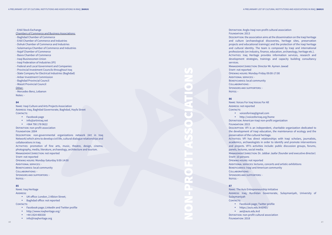Chambers of Commerce and Business Associations:

Name: Iraqi Culture and Arts Projects Association ADDRESS: Iraq, Baghdad Governorate, Baghdad, Hayfa Street CONTACTS:

- Facebook page
- • info@artiniraq.net
- $\cdot$  +964 790 178 9622
- Baghdad Chamber of Commerce
- Erbil Chamber of Commerce and Industries
- Dohuk Chamber of Commerce and Industries
- Solaimaniya Chamber of Commerce and Industries
- Najaf Chamber of Commerce
- Basra Chamber of Commerce
- Iraqi Businessmen Union
- Iraqi Federation of Industries (IFI)
- Federal and Local Government and Companies:
- Provincial Investment Councils throughout Iraq
- State Company for Electrical Industries (Baghdad)
- Anbar Investment Commission
- Baghdad Provincial Council
- Wassit Provincial Council

ACTIVITIES: promotion of fine arts, music, theatre, design, cinema, photography, media, literature, archaeology, architecture and tourism. Management/direction: not reported STAFF: not reported Opening hours: Monday-Saturday 9:00-14:00 Additional services: -

### Other:

- Mercedes-Benz, Lebanon Notes: -

### **84**

- • Facebook page; LinkedIn and Twitter profile
- http://www.iraqheritage.org/
- $\cdot$  +44 1924 400330
- info@iragheritage.org

Definition: non-profit association

### FOUNDATION: 2004

Description: non-governmental organizations network (Art in Iraq Network) which aims to develop civil life, cultural dialogue relationships and collaborations in Iraq.

Name: Voices For Iraq Voices For All ADDRESS: not reported CONTACTS:

• voicesforiraq@gmail.com • http://voicesforiraq.org/home

Definition: American-Iraqi non-profit organization Foundation: 2015 DESCRIPTION: VFI is an independent, charitable organization dedicated to the development of Iraqi education, the maintenance of ecology and the preservation of the cultural heritage. ACTIVITIES: VFI has direct relationships with Iraqi scholars, journalists, academics, archaeologists in order to identify and promote interventions and projects. VFI's activities include: public discussion groups, forums, panels, lectures, social media. MANAGEMENT/DIRECTION: Dr. Jabbar Jaafar (founder and executive director) STAFF: 10 persons Opening hours: not reported ADDITIONAL SERVICES: lectures, concerts and artistic exhibitions BENEFICIARIES: Iraqi and American community Collaborations: - Sponsors and supporters: - NOTES: -

Beneficiaries: local community

- Collaborations: -
- Sponsors and supporters: -

NOTES: -

### **85**

Name: Iraq Heritage Address :

- • UK office: London, 2 Albion Street;
- • Baghdad office: not reported

CONTACTS:

Name: The Auis Entrepreneurship Initiative ADDRESS: Iraq, Kurdistan Governorate, Sulaymaniyah, University of

Sulaymaniyah CONTACTS:

- 
- 

FOUNDATION: 2018

Definition: Anglo-Iraqi non-profit cultural association FOUNDATION: 2013 Description: the association aims at the dissemination on the Iraqi heritage and culture (archaeological discoveries, heritage sites, preservation projects and educational trainings) and the protection of the Iraqi heritage and cultural identity. The team is composed by Iraqi and international professionals (on industry, finance, education, archaeology, heritage etc.). ACTIVITIES: Iraq Heritage provides information services, research and development strategies, trainings and capacity building consultancy services.

STAFF: not reported Additional services: - Beneficiaries: local community Collaborations: - Sponsors and supporters: - NOTES: -

Management/direction: Director Mr. Aymen Jawad Opening hours: Monday-Friday 09:00-17:00

### **86**

### **87**

• Facebook page; Twitter profile • https://auis.edu.krd/AEI/ • aei@auis.edu.krd Definition: non-profit cultural association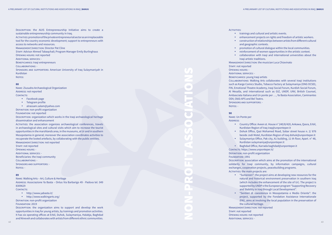Name: Ziusudra Archaeological Organization ADDRESS: not reported CONTACTS:

Description: the AUIS Entrepreneurship Initiative aims to create a sustainable entrepreneurship community in Iraq. Activities: promotion of the private entrepreneurial sector as an irreplaceable tool for the country economic development; support to entrepreneurs with access to networks and resources. Management/direction: Director Pat Cline STAFF: Advisor Ahmed Tabaqchali; Program Manager Emily Burlinghaus Opening hours: not reported Additional services: - Beneficiaries: Iraqi entrepreneurs Collaborations: - Sponsors and supporters: American University of Iraq Sulaymaniyah in Kurdistan

DESCRIPTION: organization which works in the Iraqi archaeological heritage dissemination and enhancement

### **88**

NOTES:

Name: Walking Arts – Art, Culture & Heritage Address: Associazione Ya Basta – Onlus Via Barbarigo 49 - Padova tel. 049 8309629 CONTACTS:

- • Facebook page
- • Telegram profile
- • alrassam.salam@yahoo.com

DEFINITION: non-profit organization

FOUNDATION: not reported

DESCRIPTION: the organization aims to support and develop the work opportunities in Iraq for young artists, by trainings and promotion activities. It has six operating offices at Erbil, Duhok, Sulaymaniya, Halabja, Baghdad and Nineveh and collaborates with artists from different ethnic communities.

Activities:

- 
- 
- 
- 
- 

STAFF: not reported Opening hours: - Additional services: - Beneficiaries: young Iraqi artists Collaborations: Walking Arts collaborates with several Iraqi institutions such as Karge Comics Studio, Tobacco Factory at Sulaymaniya (ONG OCSD), FIN, Emotional Theatre Academy, Iraqi Social Forum, Kurdish Social Forum, Al Mesalla, and international such as GIZ, UNDP, UNV, British Counsel, Ambasciata Italiana and Un ponte per …, Ya Basta Association, Caminantes ODV, Oblò APS and Bel Teatro. Sponsors and supporters: - NOTES: -

Activities: the association organizes archaeological conferences, travels in archaeological sites and cultural visits which aim to increase the tourist opportunities in the marshlands area, in the museums, at Ur and in southern Mesopotamia in general; moreover the association coordinates activities to recuperate the looted artefacts, by collaborating with the public entities. Management/direction: not reported STAFF: not reported Opening hours: - Additional services: -

Beneficiaries: the Iraqi community

Collaborations: -

Name: Un Ponte per ADDRESS:

- 
- 
- 

CONTACTS: https://www.unponteper.it/ DEFINITION: non-profit organization Foundation: 1991 Description: association which aims at the promotion of the international solidarity for Iraqi community, by information campaigns, cultural exchanges, cooperation projects, peacebuilding programs. ACTIVITIES: the main projects are:

Sponsors and supporters: -

NOTES: -

### **89**

- • http://www.yabasta.it/
- • http://www.walkingarts.org/

Definition: non-profit organization

FOUNDATION: 2019

• trainings and cultural and artistic events.

• enhancement projects on rights and freedom of artistic workers. construction of relationships between artists from different cultural and geographic contexts.

• promotion of cultural dialogue within the local communities.

• reinforcement of women opportunities in the artistic context.

• collaboration with Iraqi and international universities about the Iraqi artistic traditions.

Management/direction: the musician Luca Chiavinato

### **90**

• Country Office: Aveen st. House n° 240/8/420, Ankawa, Qasra, Erbil, Kurdistan Region of Iraq iraq@unponteper.it

• Dohuk Office, Qazi Mohamed Road, Sobar street house n. 2/ 876 beside Jodi Motel, Kurdistan Region of Iraq dohuk@unponteper.it • Sulaymaniya Office, Pak city, A1 building, 11 th floor, Apart. n° 48, Kurdistan sulaymaniya@unponteper.it

• Baghdad Office, Karrada baghdad@unponteper.it

• "Sumereen": the project aims at developing new resources for the natural and historical environment preservation in southern Iraq (which includes the enhancement of the site of Ur). The project is supported by UNDP e the European program "Supporting Recovery and Stability in Iraq through Local Development".

• "Sentieri di coesistenza in Mesopotamia e Medio Oriente": the project, supported by the Fondation Assistance Internationale (FAI), aims at involving the local population in the preservation of the cultural heritage.

Management/direction: not reported STAFF: not reported Opening hours: not reported Additional services: -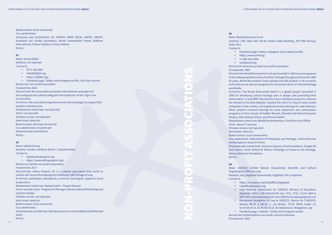Collaborations: - Sponsors and supporters: EU, UNHCR, UNDP, OCHA, UNFPA, UNICEF, Australian Aid, Karibu foundation, Action Humanitaire France, Malteser International, Chiesa Cattolica, Chiesa Valdese NOTES: -

BENEFICIARIES: local community

Name: Humat Dijlah ADDRESS: not reported CONTACTS:

- • 0771 140 2405
- • info@hdijlah.org
- • https://hdijlah.org/
- • Facebook page, Twitter and Instagram profile, YouTube channel Definition: non-profit association
- FOUNDATION: 2016

### **91**

Name: Safinat Al-Iraq ADDRESS: London, Kenbury Street 7, Empress Mews CONTACTS:

- info@safinaprojects.org
- https://www.safinaprojects.org/

DEFINITION: British non-profit association Foundation: 2017

Description: the association promotes international campaigns for the ecological and cultural safeguard and protection of the Tigris river environment Activities: the association organizes events and campaigns to support the southern marshes area Management/direction: not reported STAFF: not reported Opening hours: not reported Additional services: - Beneficiaries: the Iraqi community Collaborations: Un ponte per Sponsors and supporters : Notes: -

Sponsors and supporters: Safinat projects are co-founded by artist Rashad Salim NOTES: -

- • Facebook page; Twitter, Instagram and LinkedIn profile
- https://www.wmf.org/
	-
	-
	-

# **92**

ACTIVITIES: The World Monuments Watch is a global project launched in 1995 for identifying cultural heritage sites in danger and promoting their preservation. In Iraq WMF directed the *Future of Babylon project* to conserve the remains of ancient Babylon, headed the return to Iraq of many looted antiquities in the country and organized several trainings for Iraqi restorers. Other projects involved trainings for local authorities and conservation programs at Erbil, Amedy, Al-Hadba' Minaret, Nineveh and Nimrud Assyrian Palaces, Mam Rashan Shrine and Khinnis Reliefs

Description: Safina Projects CIC is a cultural association that works to protect and revive the endangered traditional craft heritage of Iraq. Activities: workshops, laboratories, economic and logistic support to local productions Management/direction: Rashad Salim - Project Director Staff: Hannah Lewis - Programme Manager; Advisory Board Ahmed Naji and Caroline Sandes Opening hours: not reported Additional services: - Beneficiaries: local community Collaborations: -

Name: UNESCO (United Nations Educational, Scientific and Cultural Organization) Office for Iraq ADDRESS: Iraq, Baghdad Governorate, Baghdad, UN Compound CONTACTS:

- 
- iragoffice@unesco.org
- 
- 

**93** Name: World Monument Fund Suite 2412

CONTACTS:

- 
- $\cdot$  +1 646-424-9594
- wmf@wmf.org

Address: USA, New York 10118, Empire State Building, 350 Fifth Avenue,

• Iraqi National Commission for UNESCO, Ministry of Education, Baghdad, (964-1) 538 2042/43/45 (ext. 3712, 3713, 3714); (964-1) 885 1359; moeiraqinat@gmail.com; Mahmood.alqiesy@gmail.com • Permanent Delegation of Iraq to UNESCO, Maison de l'UNESCO, Bureau M6.37 à M6.42, 1, rue Miollis, 75732 PARIS Cedex 15, 01.45.68.34.21, 01.45.68.34.22, dl.irak@unesco-delegations.org • Facebook page, LinkedIn, Twitter and Instagram profile

Definition: United Nations non-profit cultural institution FOUNDATION: 2003

Definition: American private non-profit association FOUNDATION: 1965 Description: World Monuments Fund was founded in 1965 as a consequence of the widespread destruction of artistic heritage throughout the world. After 50 years, World Monuments Fund realized over 600 projects in 90 countries and continues to sponsor programs for the preservation of cultural heritage worldwide.

STAFF: about 57 persons Opening hours: not reported Additional services: - Beneficiaries: local communities Archeologiche e Scavi di Torino Stavros Niarchos Foundation. NOTES: -

- Management/direction: Bénédicte de Montlaur Chief Executive Officer
	-
	-
	-
- Collaborations: State Board of Antiquities and Heritage, Centro Ricerche

Sponsors and supporters: American Express, Ford Foundation, Google Art and Culture, Knoll, Robert W. Wilson Challenge to Conserve Our Heritage,

### **94**

• https://en.unesco.org/fieldoffice/baghdad/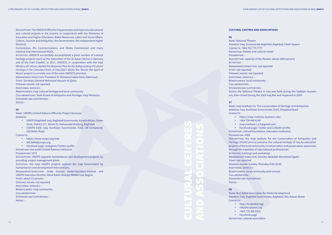CULTURAL CENTRES AND ASSOCIATIONS

Description: The UNESCO Office for Iraq promotes and improves educational and cultural projects in the country in cooperation with the Ministries of Education and Higher Education, Water Resources, Labor and Social Affairs, Culture, Tourism and Antiquities, the Governorates, the Independent Higher Electoral

Management/direction: President Dr Mohamed Iqbal Omar Mahmoud STAFF: Secretary General Mahmood Hussain Al-Qaisy

Commission, the Communications and Media Commission and many national and international NGOs.

Activities: UNESCO successfully accomplished a great number of cultural heritage projects (such as the restoration of the Al-Askari Shrine in Samarra and of the Erbil Citadel). In 2017, UNESCO, in cooperation with the Iraqi Ministry of Culture, started the *Response Plan for the Safeguarding of Cultural Heritage in the Liberated Areas of Iraq* (2017-2019); the 'Revive the Spirit of Mosul' project is currently one of the main UNESCO priorities.

- https://www.unops.org/iraq
- MR.AMM@unops.org
- • Facebook page; Instagram/Twitter profile

**DEFINITION: non-profit United Nations institution** 

FOUNDATION: 1973

ACTIVITIES: the Iraqi UNOPS projects support the Iraqi Government by humanitarian and development interventions.

MANAGEMENT/DIRECTION: Grete Faremo Under-Secretary-General and UNOPS Executive Director; Bana Kaloti Director Middle East Region

STAFF: about 15 persons

Opening hours: not reported

Name: National Theatre ADDRESS: Iraq, Governorate Baghdad, Baghdad, Fateh Square Contacts: +964 782 775 7777 Definition: theater and cultural center FOUNDATION: -

ACTIVITIES: -

Additional services: -

BENEFICIARIES: Iraqi cultural heritage and local community

Collaborations: State Board of Antiquities and Heritage; Iraqi Ministries Sponsors and supporters: -

NOTES: -

### **95**

Name: UNOPS (United Nations Office for Project Services*)* Address :

Name: Iraqi Institute For The Conservation of Heritage and Antiquities ADDRESS: Iraq, Kurdistan Governorate, Erbil, Shaqlawa Road CONTACTS:

- • UNOPS Baghdad: Iraq, Baghdad Governorate, Karada Mirjan, Green Zone, District 217, Street 22, Hamourabi Building, Baghdad
- • UNOPS Erbil: Iraq, Kurdistan Governorate, Erbil, UN Compound, 100 Meter Road

### CONTACTS:

Definition: cultural foundation, education institution FOUNDATION: 2009 DESCRIPTION: the Iraqi Institute for the Conservation of Antiquities and Heritage (IICAH) aims to preserve the cultural heritage of Iraq by education projects of the local community in conservation and preservation awareness through the expertise of international professionals. ACTIVITIES: trainings and workshops Management/direction: Director Abdullah Khorsheed Qader STAFF: not reported Opening hours: Sunday-Thursday 8:00-16:00 Additional services: - BENEFICIARIES: local community and schools Collaborations: - Sponsors and supporters: - NOTES: -

Description: UNOPS supports humanitarian and development projects, by providing project management plans.

- http://burjbabel.org/
- • info@burjbabel.org
- • +964 770 390 0322
- • Facebook page
- Opening hours: not reported
- Additional services: -
- BENEFICIARIES: Iraqi community
- Collaborations: -
- Sponsors and supporters: -

NOTES: -

# **CULTURAL CENTRES AND ASSOCIATIONS**

DESCRIPTION: capacity of the theatre: about 1000 persons

### **96**

Management/direction: not reported STAFF: not reported Opening hours: not reported Additional services: - Beneficiaries: local community Collaborations: - Sponsors and supporters: - NOTES: the National Theatre in Iraq was built during the Saddam Hussein era, then closed during the 2003 Iraq War and reopened in 2009.

### **97**

• https://iraqi-institute.business.site/

- 
- • +964 750 448 4148
- 

• iraqi.institute.c.a.h@gmail.com

• Facebook page; Twitter and LinkedIn profile

### **98**

Name: Burj Babel Association for Media Development ADDRESS: Iraq, Baghdad Governorate, Baghdad, Abu Nawas Street Contacts:

Definition: cultural association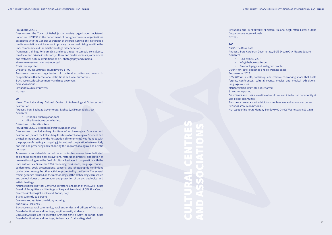### FOUNDATION: 2016

CULTURAL CENTRES AND ASSOCIATIONS

Activities: trainings for journalists and media reporters; media consultancy for official and private institutions; cultural and media seminars; conferences and festivals; cultural exhibitions on art, photography and cinema. MANAGEMENT/DIRECTION: not reported

STAFF: not reported

Description: the Tower of Babel (a civil society organization registered under No. 1J74938 in the department of non-governmental organizations associated with the General Secretariat of the Iraqi Council of Ministers) is a media association which aims at improving the cultural dialogue within the Iraqi community and the artistic heritage dissemination.

Sponsors and supporters: - NOTES: -

Address: Iraq, Baghdad Governorate, Baghdad, Al Mutanabbi Street CONTACTS:

Opening hours: Saturday-Thursday 9:00-17:00

ADDITIONAL SERVICES: organization of cultural activities and events in cooperation with international institutions and local authorities. BENEFICIARIES: local community and media workers

Collaborations: -

### **99**

Name: The Italian-Iraqi Cultural Centre of Archaeological Sciences and Restoration

- • relations\_sbah@yahoo.com
- • direzione@centroscavitorino.it

DEFINITION: cultural institute

### Foundation: 2016 (reopening); first foundation 1969

BENEFICIARIES: Iraqi community, Iraqi authorities and officers of the State Board of Antiquities and Heritage, Iraqi University students

Cooperazione Internazionale NOTES: -

Name: The Book Café Address: Iraq, Kurdistan Governorate, Erbil, Dream City, Mozart Square CONTACTS:

Description: the Italian-Iraqi Institute of Archaeological Sciences and Restoration (before the Italian-Iraqi Institute of Archaeological Sciences and the Italian-Iraqi Centre for the Restoration of Monuments) was founded with the purpose of creating an ongoing joint cultural cooperation between Italy and Iraq and preserving and enhancing the Iraqi archaeological and artistic heritage.

• Facebook page and Instagram profile DEFINITION: café, bookshop and co-working space FOUNDATION: 2017 Description: a café, bookshop, and creative co-working space that hosts forums, conferences, cultural events, movies and musical exhibitions, language courses. Management/direction: not reported STAFF: not reported Objectives and users: creation of a cultural and intellectual community at Erbil; local community ADDITIONAL SERVICES: art exhibitions, conferences and educative courses Sponsors/collaborations: - NOTES: opening hours Monday-Sunday 9:00-24:00; Wednesday 9:00-14:45

Activities: a considerable part of the activities has always been dedicated to planning archaeological excavations, restoration projects, application of new methodologies in the field of cultural heritage, in cooperation with the Iraqi authorities. Since the 2016 reopening workshops, language courses, conferences, book presentations, concerts and photographic exhibitions can be listed among the other activities promoted by the Centre. The several training courses focused on the methodology of the archaeological research and on techniques of preservation and protection of the archaeological and artistic heritage.

Management/direction: Center Co-Directors: Chairman of the SBAH – State Board of Antiquities and Heritage of Iraq and President of CRAST – Centro Ricerche Archeologiche e Scavi di Torino, Italy.

STAFF: currently 11 persons

Opening hours: Saturday-Friday morning

Additional services: -

Collaborations: Centro Ricerche Archeologiche e Scavi di Torino, State Board of Antiquities and Heritage, Ambasciata d'Italia a Baghdad

Sponsors and supporters: Ministero Italiano degli Affari Esteri e della

### **100**

- • +964 750 203 2207
- 

• info@thebook-cafe.com